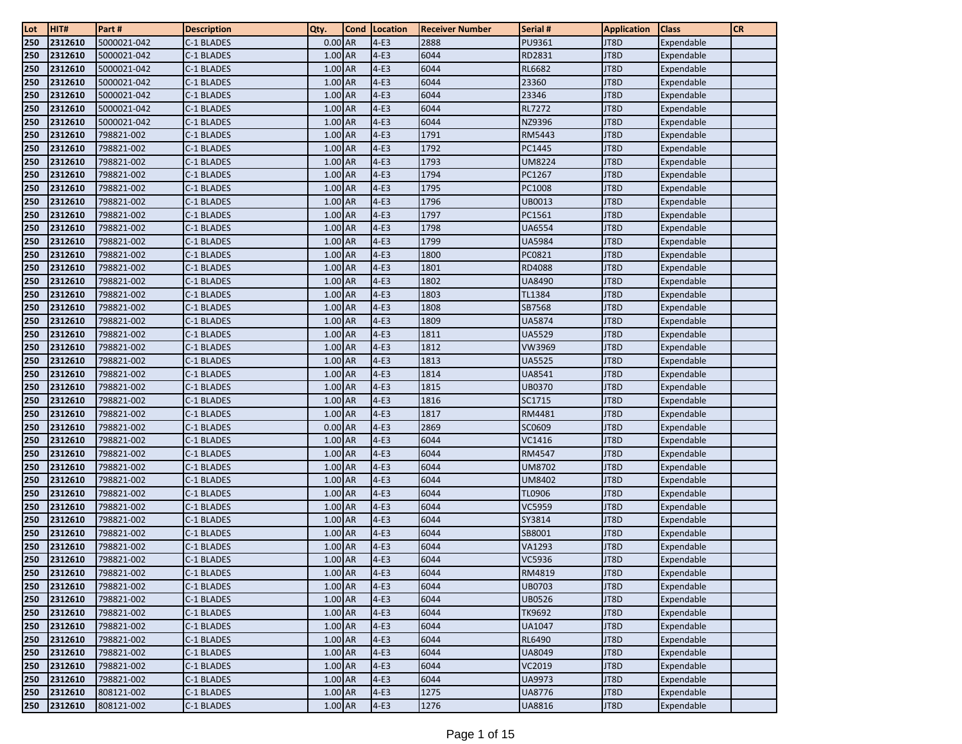| Lot | HIT#    | Part #      | <b>Description</b> | Qty.      | <b>Cond</b> | Location | <b>Receiver Number</b> | Serial #      | <b>Application</b> | <b>Class</b> | <b>CR</b> |
|-----|---------|-------------|--------------------|-----------|-------------|----------|------------------------|---------------|--------------------|--------------|-----------|
| 250 | 2312610 | 5000021-042 | C-1 BLADES         | $0.00$ AR |             | $4-E3$   | 2888                   | PU9361        | JT8D               | Expendable   |           |
| 250 | 2312610 | 5000021-042 | C-1 BLADES         | $1.00$ AR |             | $4-E3$   | 6044                   | RD2831        | JT8D               | Expendable   |           |
| 250 | 2312610 | 5000021-042 | C-1 BLADES         | 1.00 AR   |             | $4-E3$   | 6044                   | <b>RL6682</b> | JT8D               | Expendable   |           |
| 250 | 2312610 | 5000021-042 | C-1 BLADES         | 1.00 AR   |             | $4-E3$   | 6044                   | 23360         | JT8D               | Expendable   |           |
| 250 | 2312610 | 5000021-042 | C-1 BLADES         | 1.00 AR   |             | $4-E3$   | 6044                   | 23346         | JT8D               | Expendable   |           |
| 250 | 2312610 | 5000021-042 | C-1 BLADES         | 1.00 AR   |             | $4-E3$   | 6044                   | <b>RL7272</b> | JT8D               | Expendable   |           |
| 250 | 2312610 | 5000021-042 | C-1 BLADES         | 1.00 AR   |             | $4-E3$   | 6044                   | NZ9396        | JT8D               | Expendable   |           |
| 250 | 2312610 | 798821-002  | C-1 BLADES         | 1.00 AR   |             | $4-E3$   | 1791                   | RM5443        | JT8D               | Expendable   |           |
| 250 | 2312610 | 798821-002  | C-1 BLADES         | 1.00 AR   |             | $4-E3$   | 1792                   | PC1445        | JT8D               | Expendable   |           |
| 250 | 2312610 | 798821-002  | C-1 BLADES         | $1.00$ AR |             | $4-E3$   | 1793                   | UM8224        | JT8D               | Expendable   |           |
| 250 | 2312610 | 798821-002  | C-1 BLADES         | 1.00 AR   |             | $4-E3$   | 1794                   | PC1267        | JT8D               | Expendable   |           |
| 250 | 2312610 | 798821-002  | C-1 BLADES         | 1.00 AR   |             | $4-E3$   | 1795                   | PC1008        | JT8D               | Expendable   |           |
| 250 | 2312610 | 798821-002  | C-1 BLADES         | 1.00 AR   |             | $4-E3$   | 1796                   | UB0013        | JT8D               | Expendable   |           |
| 250 | 2312610 | 798821-002  | C-1 BLADES         | 1.00 AR   |             | $4-E3$   | 1797                   | PC1561        | JT8D               | Expendable   |           |
| 250 | 2312610 | 798821-002  | C-1 BLADES         | 1.00 AR   |             | $4-E3$   | 1798                   | UA6554        | JT8D               | Expendable   |           |
| 250 | 2312610 | 798821-002  | C-1 BLADES         | 1.00 AR   |             | $4-E3$   | 1799                   | UA5984        | JT8D               | Expendable   |           |
| 250 | 2312610 | 798821-002  | C-1 BLADES         | 1.00 AR   |             | $4-E3$   | 1800                   | PC0821        | JT8D               | Expendable   |           |
| 250 | 2312610 | 798821-002  | C-1 BLADES         | 1.00 AR   |             | $4-E3$   | 1801                   | RD4088        | JT8D               | Expendable   |           |
| 250 | 2312610 | 798821-002  | C-1 BLADES         | $1.00$ AR |             | $4-E3$   | 1802                   | <b>UA8490</b> | JT8D               | Expendable   |           |
| 250 | 2312610 | 798821-002  | C-1 BLADES         | 1.00 AR   |             | $4-E3$   | 1803                   | TL1384        | JT8D               | Expendable   |           |
| 250 | 2312610 | 798821-002  | C-1 BLADES         | 1.00 AR   |             | $4-E3$   | 1808                   | SB7568        | JT8D               | Expendable   |           |
| 250 | 2312610 | 798821-002  | C-1 BLADES         | 1.00 AR   |             | $4-E3$   | 1809                   | <b>UA5874</b> | JT8D               | Expendable   |           |
| 250 | 2312610 | 798821-002  | C-1 BLADES         | 1.00 AR   |             | $4-E3$   | 1811                   | <b>UA5529</b> | JT8D               | Expendable   |           |
| 250 | 2312610 | 798821-002  | C-1 BLADES         | 1.00 AR   |             | $4-E3$   | 1812                   | VW3969        | JT8D               | Expendable   |           |
| 250 | 2312610 | 798821-002  | C-1 BLADES         | 1.00 AR   |             | $4-E3$   | 1813                   | <b>UA5525</b> | JT8D               | Expendable   |           |
| 250 | 2312610 | 798821-002  | C-1 BLADES         | 1.00 AR   |             | $4-E3$   | 1814                   | UA8541        | JT8D               | Expendable   |           |
| 250 | 2312610 | 798821-002  | C-1 BLADES         | 1.00 AR   |             | $4-E3$   | 1815                   | UB0370        | JT8D               | Expendable   |           |
| 250 | 2312610 | 798821-002  | C-1 BLADES         | 1.00 AR   |             | $4-E3$   | 1816                   | SC1715        | JT8D               | Expendable   |           |
| 250 | 2312610 | 798821-002  | C-1 BLADES         | 1.00 AR   |             | $4-E3$   | 1817                   | RM4481        | JT8D               | Expendable   |           |
| 250 | 2312610 | 798821-002  | C-1 BLADES         | $0.00$ AR |             | $4-E3$   | 2869                   | SC0609        | JT8D               | Expendable   |           |
| 250 | 2312610 | 798821-002  | C-1 BLADES         | 1.00 AR   |             | $4-E3$   | 6044                   | VC1416        | JT8D               | Expendable   |           |
| 250 | 2312610 | 798821-002  | C-1 BLADES         | 1.00 AR   |             | $4-E3$   | 6044                   | RM4547        | JT8D               | Expendable   |           |
| 250 | 2312610 | 798821-002  | C-1 BLADES         | 1.00 AR   |             | $4-E3$   | 6044                   | UM8702        | JT8D               | Expendable   |           |
| 250 | 2312610 | 798821-002  | C-1 BLADES         | 1.00 AR   |             | $4-E3$   | 6044                   | <b>UM8402</b> | JT8D               | Expendable   |           |
| 250 | 2312610 | 798821-002  | C-1 BLADES         | $1.00$ AR |             | $4-E3$   | 6044                   | TL0906        | JT8D               | Expendable   |           |
| 250 | 2312610 | 798821-002  | C-1 BLADES         | 1.00 AR   |             | $4-E3$   | 6044                   | VC5959        | JT8D               | Expendable   |           |
| 250 | 2312610 | 798821-002  | C-1 BLADES         | 1.00 AR   |             | $4-E3$   | 6044                   | SY3814        | JT8D               | Expendable   |           |
| 250 | 2312610 | 798821-002  | C-1 BLADES         | 1.00 AR   |             | $4-E3$   | 6044                   | SB8001        | JT8D               | Expendable   |           |
| 250 | 2312610 | 798821-002  | C-1 BLADES         | 1.00 AR   |             | $4-E3$   | 6044                   | VA1293        | JT8D               | Expendable   |           |
| 250 | 2312610 | 798821-002  | C-1 BLADES         | 1.00 AR   |             | $4-E3$   | 6044                   | VC5936        | JT8D               | Expendable   |           |
| 250 | 2312610 | 798821-002  | C-1 BLADES         | 1.00 AR   |             | $4-E3$   | 6044                   | RM4819        | JT8D               | Expendable   |           |
| 250 | 2312610 | 798821-002  | C-1 BLADES         | 1.00 AR   |             | $4-E3$   | 6044                   | UB0703        | JT8D               | Expendable   |           |
| 250 | 2312610 | 798821-002  | C-1 BLADES         | 1.00 AR   |             | $4-E3$   | 6044                   | UB0526        | JT8D               | Expendable   |           |
| 250 | 2312610 | 798821-002  | C-1 BLADES         | 1.00 AR   |             | $4-E3$   | 6044                   | TK9692        | JT8D               | Expendable   |           |
| 250 | 2312610 | 798821-002  | C-1 BLADES         | 1.00 AR   |             | $4-E3$   | 6044                   | <b>UA1047</b> | JT8D               | Expendable   |           |
| 250 | 2312610 | 798821-002  | C-1 BLADES         | 1.00 AR   |             | $4-E3$   | 6044                   | RL6490        | JT8D               | Expendable   |           |
| 250 | 2312610 | 798821-002  | C-1 BLADES         | 1.00 AR   |             | $4-E3$   | 6044                   | <b>UA8049</b> | JT8D               | Expendable   |           |
| 250 | 2312610 | 798821-002  | C-1 BLADES         | 1.00 AR   |             | $4-E3$   | 6044                   | VC2019        | JT8D               | Expendable   |           |
| 250 | 2312610 | 798821-002  | C-1 BLADES         | $1.00$ AR |             | $4-E3$   | 6044<br>1275           | UA9973        | JT8D               | Expendable   |           |
| 250 | 2312610 | 808121-002  | C-1 BLADES         | $1.00$ AR |             | $4-E3$   |                        | <b>UA8776</b> | JT8D               | Expendable   |           |
| 250 | 2312610 | 808121-002  | C-1 BLADES         | 1.00 AR   |             | $4-E3$   | 1276                   | <b>UA8816</b> | JT8D               | Expendable   |           |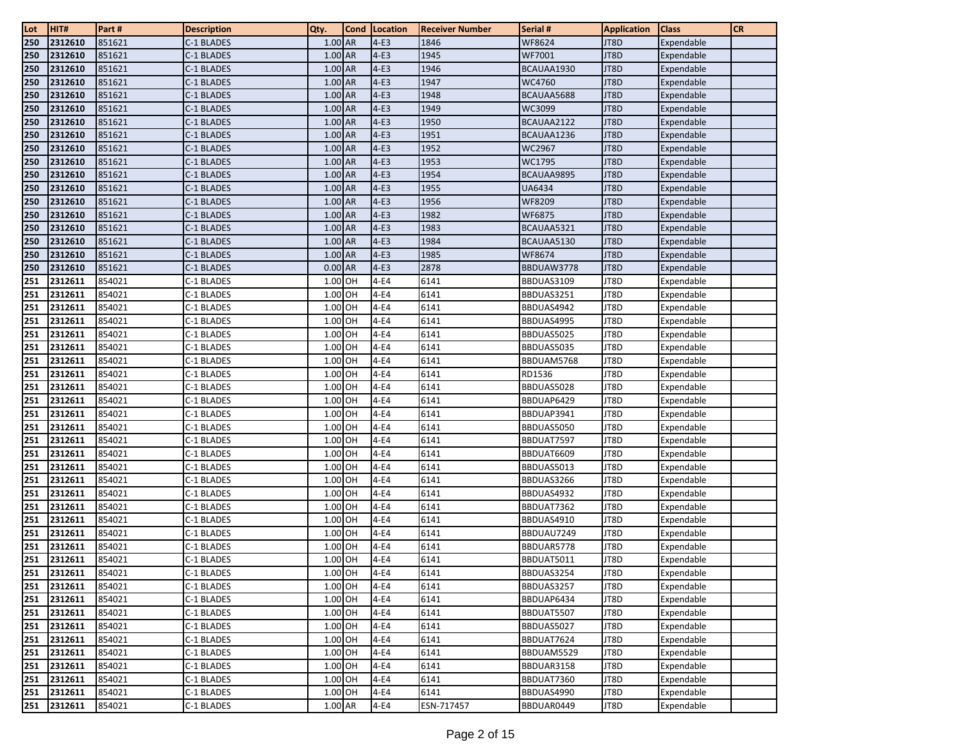| Lot        | HIT#               | Part#            | <b>Description</b>       | Qty.               | <b>Cond</b> | Location         | <b>Receiver Number</b> | Serial #                 | <b>Application</b> | <b>Class</b> | <b>CR</b> |
|------------|--------------------|------------------|--------------------------|--------------------|-------------|------------------|------------------------|--------------------------|--------------------|--------------|-----------|
| 250        | 2312610            | 851621           | C-1 BLADES               | 1.00 AR            |             | $4-E3$           | 1846                   | WF8624                   | JT8D               | Expendable   |           |
| 250        | 2312610            | 851621           | C-1 BLADES               | 1.00 AR            |             | $4-E3$           | 1945                   | WF7001                   | JT8D               | Expendable   |           |
| 250        | 2312610            | 851621           | C-1 BLADES               | 1.00 AR            |             | $4-E3$           | 1946                   | BCAUAA1930               | JT8D               | Expendable   |           |
| 250        | 2312610            | 851621           | C-1 BLADES               | $1.00$ AR          |             | $4-E3$           | 1947                   | WC4760                   | JT8D               | Expendable   |           |
| 250        | 2312610            | 851621           | C-1 BLADES               | 1.00 AR            |             | $4-E3$           | 1948                   | BCAUAA5688               | JT8D               | Expendable   |           |
| 250        | 2312610            | 851621           | C-1 BLADES               | 1.00 AR            |             | $4-E3$           | 1949                   | WC3099                   | JT8D               | Expendable   |           |
| 250        | 2312610            | 851621           | C-1 BLADES               | 1.00 AR            |             | $4-E3$           | 1950                   | BCAUAA2122               | JT8D               | Expendable   |           |
| 250        | 2312610            | 851621           | C-1 BLADES               | 1.00 AR            |             | $4-E3$           | 1951                   | BCAUAA1236               | JT8D               | Expendable   |           |
| 250        | 2312610            | 851621           | C-1 BLADES               | 1.00 AR            |             | $4-E3$           | 1952                   | WC2967                   | JT8D               | Expendable   |           |
| 250        | 2312610            | 851621           | C-1 BLADES               | $1.00$ AR          |             | $4-E3$           | 1953                   | WC1795                   | JT8D               | Expendable   |           |
| 250        | 2312610            | 851621           | C-1 BLADES               | 1.00 AR            |             | $4-E3$           | 1954                   | BCAUAA9895               | JT8D               | Expendable   |           |
| 250        | 2312610            | 851621           | C-1 BLADES               | 1.00 AR            |             | $4-E3$           | 1955                   | <b>UA6434</b>            | JT8D               | Expendable   |           |
| 250        | 2312610            | 851621           | C-1 BLADES               | 1.00 AR            |             | $4-E3$           | 1956                   | WF8209                   | JT8D               | Expendable   |           |
| 250        | 2312610            | 851621           | C-1 BLADES               | 1.00 AR            |             | $4-E3$           | 1982                   | WF6875                   | JT8D               | Expendable   |           |
| 250        | 2312610            | 851621           | C-1 BLADES               | 1.00 AR            |             | $4-E3$           | 1983                   | BCAUAA5321               | JT8D               | Expendable   |           |
| 250        | 2312610            | 851621           | C-1 BLADES               | 1.00 AR            |             | $4-E3$           | 1984                   | BCAUAA5130               | JT8D               | Expendable   |           |
| 250        | 2312610            | 851621           | C-1 BLADES               | 1.00 AR            |             | $4-E3$           | 1985                   | WF8674                   | JT8D               | Expendable   |           |
| 250        | 2312610            | 851621           | C-1 BLADES               | $0.00$ AR          |             | $4-E3$           | 2878                   | BBDUAW3778               | JT8D               | Expendable   |           |
| 251        | 2312611            | 854021           | C-1 BLADES               | 1.00 OH            |             | $4-E4$           | 6141                   | BBDUAS3109               | JT8D               | Expendable   |           |
| 251        | 2312611            | 854021           | C-1 BLADES               | 1.00 OH            |             | $4-E4$           | 6141                   | BBDUAS3251               | JT8D               | Expendable   |           |
| 251        | 2312611            | 854021           | C-1 BLADES               | 1.00 OH            |             | 4-E4             | 6141                   | BBDUAS4942               | JT8D               | Expendable   |           |
| 251        | 2312611            | 854021           | C-1 BLADES               | 1.00 OH            |             | $4-E4$           | 6141                   | BBDUAS4995               | JT8D               | Expendable   |           |
| 251        | 2312611            | 854021           | C-1 BLADES               | 1.00 OH            |             | $4-E4$           | 6141                   | BBDUAS5025               | JT8D               | Expendable   |           |
| 251        | 2312611            | 854021           | C-1 BLADES               | 1.00 OH            |             | $4-E4$           | 6141                   | BBDUAS5035               | JT8D               | Expendable   |           |
| 251        | 2312611            | 854021           | C-1 BLADES               | 1.00 OH            |             | $4-E4$           | 6141                   | BBDUAM5768               | JT8D               | Expendable   |           |
| 251        | 2312611            | 854021           | C-1 BLADES               | 1.00 OH            |             | 4-E4             | 6141                   | RD1536                   | JT8D               | Expendable   |           |
| 251        | 2312611            | 854021           | C-1 BLADES               | 1.00 OH            |             | $4-E4$           | 6141                   | BBDUAS5028               | JT8D               | Expendable   |           |
| 251        | 2312611            | 854021           | C-1 BLADES               | 1.00 OH            |             | 4-E4             | 6141                   | BBDUAP6429               | JT8D               | Expendable   |           |
| 251        | 2312611            | 854021           | C-1 BLADES               | 1.00 OH            |             | $4-E4$           | 6141                   | BBDUAP3941               | JT8D               | Expendable   |           |
| 251        | 2312611            | 854021           | C-1 BLADES               | 1.00 OH            |             | $4-E4$           | 6141                   | BBDUAS5050               | JT8D               | Expendable   |           |
| 251        | 2312611            | 854021           | C-1 BLADES               | 1.00 OH            |             | 4-E4             | 6141                   | BBDUAT7597               | JT8D               | Expendable   |           |
| 251        | 2312611            | 854021           | C-1 BLADES               | 1.00 OH            |             | 4-E4             | 6141                   | BBDUAT6609               | JT8D               | Expendable   |           |
| 251        | 2312611            | 854021           | C-1 BLADES               | 1.00 OH            |             | 4-E4             | 6141                   | BBDUAS5013               | JT8D               | Expendable   |           |
| 251        | 2312611            | 854021           | C-1 BLADES               | 1.00 OH            |             | $4-E4$           | 6141                   | BBDUAS3266               | JT8D               | Expendable   |           |
| 251        | 2312611            | 854021           | C-1 BLADES               | 1.00 OH            |             | $4-E4$           | 6141                   | BBDUAS4932               | JT8D               | Expendable   |           |
| 251        | 2312611            | 854021           | C-1 BLADES               | 1.00 OH            |             | $4-E4$           | 6141                   | BBDUAT7362               | JT8D               | Expendable   |           |
| 251        | 2312611            | 854021           | C-1 BLADES               | 1.00 OH            |             | $4-E4$           | 6141                   | BBDUAS4910               | JT8D               | Expendable   |           |
| 251        | 2312611            | 854021           | C-1 BLADES               | 1.00 OH            |             | 4-E4             | 6141                   | BBDUAU7249               | JT8D               | Expendable   |           |
| 251        | 2312611            | 854021           | C-1 BLADES               | 1.00 OH            |             | $4-E4$           | 6141                   | BBDUAR5778               | JT8D               | Expendable   |           |
| 251        | 2312611            | 854021           | C-1 BLADES               | 1.00 OH            |             | $4-E4$           | 6141                   | BBDUAT5011               | JT8D               | Expendable   |           |
| 251        | 2312611            | 854021           | C-1 BLADES               | 1.00 OH            |             | $4-E4$           | 6141                   | BBDUAS3254               | JT8D               | Expendable   |           |
| 251        | 2312611            | 854021           | C-1 BLADES               | $1.00$ OH          |             | $4-E4$           | 6141                   | BBDUAS3257               | JT8D               | Expendable   |           |
| 251        | 2312611            | 854021           | C-1 BLADES               | 1.00 OH            |             | $4-E4$           | 6141                   | BBDUAP6434               | JT8D               | Expendable   |           |
| 251        | 2312611            | 854021           | C-1 BLADES               | 1.00 OH            |             | $4-E4$           | 6141                   | BBDUAT5507               | JT8D               | Expendable   |           |
| 251        | 2312611            | 854021           | C-1 BLADES               | 1.00 OH            |             | $4-E4$           | 6141                   | BBDUAS5027               | JT8D               | Expendable   |           |
| 251        | 2312611            | 854021           | C-1 BLADES               | $1.00$ OH          |             | $4-E4$           | 6141                   | BBDUAT7624               | JT8D               | Expendable   |           |
| 251<br>251 | 2312611<br>2312611 | 854021<br>854021 | C-1 BLADES<br>C-1 BLADES | 1.00 OH<br>1.00 OH |             | $4-E4$           | 6141<br>6141           | BBDUAM5529<br>BBDUAR3158 | JT8D<br>JT8D       | Expendable   |           |
|            | 2312611            |                  |                          | 1.00 OH            |             | $4-E4$           |                        |                          |                    | Expendable   |           |
| 251<br>251 | 2312611            | 854021<br>854021 | C-1 BLADES<br>C-1 BLADES | 1.00 OH            |             | $4-E4$<br>$4-E4$ | 6141<br>6141           | BBDUAT7360               | JT8D<br>JT8D       | Expendable   |           |
| 251        |                    |                  | C-1 BLADES               | 1.00 AR            |             |                  |                        | BBDUAS4990<br>BBDUAR0449 |                    | Expendable   |           |
|            | 2312611            | 854021           |                          |                    |             | $4-E4$           | ESN-717457             |                          | JT8D               | Expendable   |           |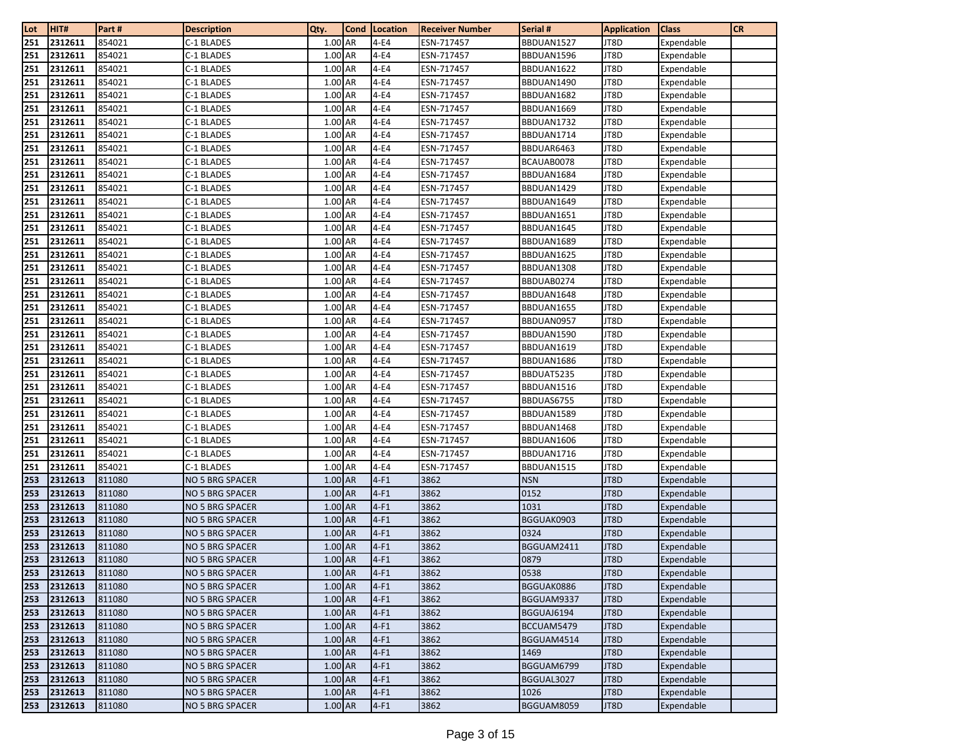| Lot        | HIT#               | Part #           | <b>Description</b>       | Qty.               | <b>Cond</b> | Location     | <b>Receiver Number</b>   | Serial #                 | <b>Application</b> | <b>Class</b>             | <b>CR</b> |
|------------|--------------------|------------------|--------------------------|--------------------|-------------|--------------|--------------------------|--------------------------|--------------------|--------------------------|-----------|
| 251        | 2312611            | 854021           | C-1 BLADES               | 1.00 AR            |             | $4-E4$       | ESN-717457               | BBDUAN1527               | JT8D               | Expendable               |           |
| 251        | 2312611            | 854021           | C-1 BLADES               | 1.00 AR            |             | $4-E4$       | ESN-717457               | BBDUAN1596               | JT8D               | Expendable               |           |
| 251        | 2312611            | 854021           | C-1 BLADES               | 1.00 AR            |             | $4-E4$       | ESN-717457               | BBDUAN1622               | JT8D               | Expendable               |           |
| 251        | 2312611            | 854021           | C-1 BLADES               | 1.00 AR            |             | $4-E4$       | ESN-717457               | BBDUAN1490               | JT8D               | Expendable               |           |
| 251        | 2312611            | 854021           | C-1 BLADES               | 1.00 AR            |             | 4-E4         | ESN-717457               | BBDUAN1682               | JT8D               | Expendable               |           |
| 251        | 2312611            | 854021           | C-1 BLADES               | 1.00 AR            |             | $4-E4$       | ESN-717457               | BBDUAN1669               | JT8D               | Expendable               |           |
| 251        | 2312611            | 854021           | C-1 BLADES               | 1.00 AR            |             | 4-E4         | ESN-717457               | BBDUAN1732               | JT8D               | Expendable               |           |
| 251        | 2312611            | 854021           | C-1 BLADES               | 1.00 AR            |             | $4-E4$       | ESN-717457               | BBDUAN1714               | JT8D               | Expendable               |           |
| 251        | 2312611            | 854021           | C-1 BLADES               | 1.00 AR            |             | 4-E4         | ESN-717457               | BBDUAR6463               | JT8D               | Expendable               |           |
| 251        | 2312611            | 854021           | C-1 BLADES               | 1.00 AR            |             | 4-E4         | ESN-717457               | BCAUAB0078               | JT8D               | Expendable               |           |
| 251        | 2312611            | 854021           | C-1 BLADES               | 1.00 AR            |             | 4-E4         | ESN-717457               | BBDUAN1684               | JT8D               | Expendable               |           |
| 251        | 2312611            | 854021           | C-1 BLADES               | 1.00 AR            |             | $4-E4$       | ESN-717457               | BBDUAN1429               | JT8D               | Expendable               |           |
| 251        | 2312611            | 854021           | C-1 BLADES               | 1.00 AR            |             | $4-E4$       | ESN-717457               | BBDUAN1649               | JT8D               | Expendable               |           |
| 251        | 2312611            | 854021           | C-1 BLADES               | 1.00 AR            |             | $4-E4$       | ESN-717457               | BBDUAN1651               | JT8D               | Expendable               |           |
| 251        | 2312611            | 854021           | C-1 BLADES               | 1.00 AR            |             | $4-E4$       | ESN-717457               | BBDUAN1645               | JT8D               | Expendable               |           |
| 251        | 2312611            | 854021           | C-1 BLADES               | 1.00 AR            |             | $4-E4$       | ESN-717457               | BBDUAN1689               | JT8D               | Expendable               |           |
| 251        | 2312611            | 854021           | C-1 BLADES               | 1.00 AR            |             | $4-E4$       | ESN-717457               | BBDUAN1625               | JT8D               | Expendable               |           |
| 251        | 2312611            | 854021           | C-1 BLADES               | 1.00 AR            |             | 4-E4         | ESN-717457               | BBDUAN1308               | JT8D               | Expendable               |           |
| 251        | 2312611            | 854021           | C-1 BLADES               | 1.00 AR            |             | $4-E4$       | ESN-717457               | BBDUAB0274               | JT8D               | Expendable               |           |
| 251        | 2312611            | 854021           | C-1 BLADES               | 1.00 AR            |             | $4-E4$       | ESN-717457               | BBDUAN1648               | JT8D               | Expendable               |           |
| 251        | 2312611            | 854021           | C-1 BLADES               | 1.00 AR            |             | $4-E4$       | ESN-717457               | BBDUAN1655               | JT8D               | Expendable               |           |
| 251        | 2312611            | 854021           | C-1 BLADES               | 1.00 AR            |             | $4-E4$       | ESN-717457               | BBDUAN0957               | JT8D               | Expendable               |           |
| 251        | 2312611            | 854021           | C-1 BLADES               | 1.00 AR            |             | $4-E4$       | ESN-717457               | BBDUAN1590               | JT8D               | Expendable               |           |
| 251        | 2312611            | 854021           | C-1 BLADES               | 1.00 AR            |             | $4-E4$       | ESN-717457               | BBDUAN1619               | JT8D               | Expendable               |           |
| 251        | 2312611            | 854021<br>854021 | C-1 BLADES               | 1.00 AR<br>1.00 AR |             | $4-E4$       | ESN-717457               | BBDUAN1686               | JT8D<br>JT8D       | Expendable               |           |
| 251        | 2312611            |                  | C-1 BLADES               | 1.00 AR            |             | $4-E4$       | ESN-717457               | BBDUAT5235               |                    | Expendable               |           |
| 251        | 2312611            | 854021           | C-1 BLADES               | 1.00 AR            |             | 4-E4<br>4-E4 | ESN-717457               | BBDUAN1516               | JT8D<br>JT8D       | Expendable               |           |
| 251        | 2312611<br>2312611 | 854021<br>854021 | C-1 BLADES<br>C-1 BLADES | 1.00 AR            |             | $4-E4$       | ESN-717457<br>ESN-717457 | BBDUAS6755<br>BBDUAN1589 | JT8D               | Expendable               |           |
| 251<br>251 | 2312611            | 854021           | C-1 BLADES               | 1.00 AR            |             | $4-E4$       | ESN-717457               | BBDUAN1468               | JT8D               | Expendable               |           |
| 251        | 2312611            | 854021           | C-1 BLADES               | 1.00 AR            |             | $4-E4$       | ESN-717457               | BBDUAN1606               | JT8D               | Expendable<br>Expendable |           |
| 251        | 2312611            | 854021           | C-1 BLADES               | 1.00 AR            |             | $4-E4$       | ESN-717457               | BBDUAN1716               | JT8D               | Expendable               |           |
| 251        | 2312611            | 854021           | C-1 BLADES               | 1.00 AR            |             | $4-E4$       | ESN-717457               | BBDUAN1515               | JT8D               | Expendable               |           |
| 253        | 2312613            | 811080           | NO 5 BRG SPACER          | 1.00 AR            |             | $4-F1$       | 3862                     | <b>NSN</b>               | JT8D               | Expendable               |           |
| 253        | 2312613            | 811080           | <b>NO 5 BRG SPACER</b>   | 1.00 AR            |             | $4-F1$       | 3862                     | 0152                     | JT8D               | Expendable               |           |
| 253        | 2312613            | 811080           | NO 5 BRG SPACER          | 1.00 AR            |             | $4-F1$       | 3862                     | 1031                     | JT8D               | Expendable               |           |
| 253        | 2312613            | 811080           | NO 5 BRG SPACER          | 1.00 AR            |             | $4-F1$       | 3862                     | BGGUAK0903               | JT8D               | Expendable               |           |
| 253        | 2312613            | 811080           | NO 5 BRG SPACER          | 1.00 AR            |             | $4-F1$       | 3862                     | 0324                     | JT8D               | Expendable               |           |
| 253        | 2312613            | 811080           | NO 5 BRG SPACER          | 1.00 AR            |             | $4-F1$       | 3862                     | BGGUAM2411               | JT8D               | Expendable               |           |
| 253        | 2312613            | 811080           | NO 5 BRG SPACER          | 1.00 AR            |             | $4-F1$       | 3862                     | 0879                     | JT8D               | Expendable               |           |
| 253        | 2312613            | 811080           | NO 5 BRG SPACER          | $1.00$ AR          |             | $4-F1$       | 3862                     | 0538                     | JT8D               | Expendable               |           |
| 253        | 2312613            | 811080           | NO 5 BRG SPACER          | 1.00 AR            |             | $4-F1$       | 3862                     | BGGUAK0886               | JT8D               | Expendable               |           |
| 253        | 2312613            | 811080           | NO 5 BRG SPACER          | 1.00 AR            |             | $4-F1$       | 3862                     | BGGUAM9337               | JT8D               | Expendable               |           |
| 253        | 2312613            | 811080           | NO 5 BRG SPACER          | 1.00 AR            |             | $4-F1$       | 3862                     | BGGUAJ6194               | JT8D               | Expendable               |           |
| 253        | 2312613            | 811080           | NO 5 BRG SPACER          | 1.00 AR            |             | $4-F1$       | 3862                     | BCCUAM5479               | JT8D               | Expendable               |           |
| 253        | 2312613            | 811080           | NO 5 BRG SPACER          | 1.00 AR            |             | $4-F1$       | 3862                     | BGGUAM4514               | JT8D               | Expendable               |           |
| 253        | 2312613            | 811080           | NO 5 BRG SPACER          | 1.00 AR            |             | $4-F1$       | 3862                     | 1469                     | JT8D               | Expendable               |           |
| 253        | 2312613            | 811080           | NO 5 BRG SPACER          | 1.00 AR            |             | $4-F1$       | 3862                     | BGGUAM6799               | JT8D               | Expendable               |           |
| 253        | 2312613            | 811080           | NO 5 BRG SPACER          | 1.00 AR            |             | $4-F1$       | 3862                     | BGGUAL3027               | JT8D               | Expendable               |           |
| 253        | 2312613            | 811080           | NO 5 BRG SPACER          | 1.00 AR            |             | $4-F1$       | 3862                     | 1026                     | JT8D               | Expendable               |           |
| 253        | 2312613            | 811080           | <b>NO 5 BRG SPACER</b>   | 1.00 AR            |             | $4-F1$       | 3862                     | BGGUAM8059               | JT8D               | Expendable               |           |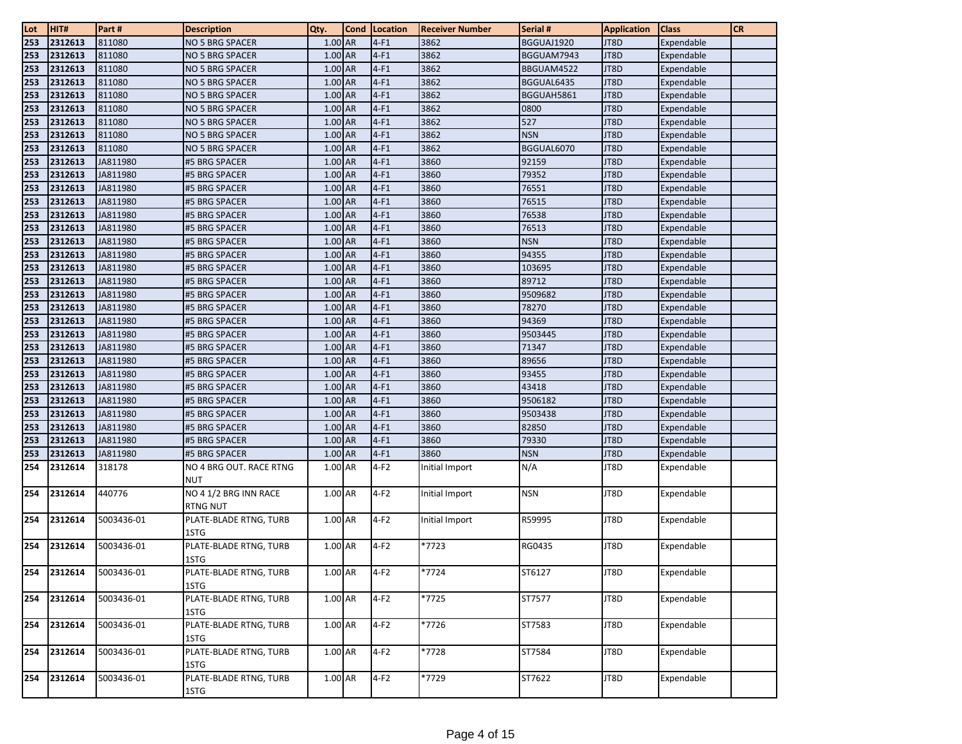| Lot | HIT#    | Part #     | <b>Description</b>                       | Qty.      | <b>Cond</b> | Location | <b>Receiver Number</b> | Serial #   | <b>Application</b> | <b>Class</b> | <b>CR</b> |
|-----|---------|------------|------------------------------------------|-----------|-------------|----------|------------------------|------------|--------------------|--------------|-----------|
| 253 | 2312613 | 811080     | NO 5 BRG SPACER                          | $1.00$ AR |             | $4-F1$   | 3862                   | BGGUAJ1920 | JT8D               | Expendable   |           |
| 253 | 2312613 | 811080     | NO 5 BRG SPACER                          | 1.00 AR   |             | $4-F1$   | 3862                   | BGGUAM7943 | JT8D               | Expendable   |           |
| 253 | 2312613 | 811080     | NO 5 BRG SPACER                          | 1.00 AR   |             | $4-F1$   | 3862                   | BBGUAM4522 | JT8D               | Expendable   |           |
| 253 | 2312613 | 811080     | NO 5 BRG SPACER                          | 1.00 AR   |             | $4-F1$   | 3862                   | BGGUAL6435 | JT8D               | Expendable   |           |
| 253 | 2312613 | 811080     | <b>NO 5 BRG SPACER</b>                   | 1.00 AR   |             | $4-F1$   | 3862                   | BGGUAH5861 | JT8D               | Expendable   |           |
| 253 | 2312613 | 811080     | NO 5 BRG SPACER                          | $1.00$ AR |             | $4-F1$   | 3862                   | 0800       | JT8D               | Expendable   |           |
| 253 | 2312613 | 811080     | NO 5 BRG SPACER                          | 1.00 AR   |             | $4-F1$   | 3862                   | 527        | JT8D               | Expendable   |           |
| 253 | 2312613 | 811080     | NO 5 BRG SPACER                          | 1.00 AR   |             | $4-F1$   | 3862                   | <b>NSN</b> | JT8D               | Expendable   |           |
| 253 | 2312613 | 811080     | NO 5 BRG SPACER                          | 1.00 AR   |             | $4-F1$   | 3862                   | BGGUAL6070 | JT8D               | Expendable   |           |
| 253 | 2312613 | JA811980   | #5 BRG SPACER                            | 1.00 AR   |             | $4-F1$   | 3860                   | 92159      | JT8D               | Expendable   |           |
| 253 | 2312613 | JA811980   | #5 BRG SPACER                            | $1.00$ AR |             | $4-F1$   | 3860                   | 79352      | JT8D               | Expendable   |           |
| 253 | 2312613 | JA811980   | #5 BRG SPACER                            | 1.00 AR   |             | $4-F1$   | 3860                   | 76551      | JT8D               | Expendable   |           |
| 253 | 2312613 | JA811980   | #5 BRG SPACER                            | 1.00 AR   |             | $4-F1$   | 3860                   | 76515      | JT8D               | Expendable   |           |
| 253 | 2312613 | JA811980   | #5 BRG SPACER                            | 1.00 AR   |             | $4-F1$   | 3860                   | 76538      | JT8D               | Expendable   |           |
| 253 | 2312613 | JA811980   | #5 BRG SPACER                            | 1.00 AR   |             | $4-F1$   | 3860                   | 76513      | JT8D               | Expendable   |           |
| 253 | 2312613 | JA811980   | #5 BRG SPACER                            | 1.00 AR   |             | $4-F1$   | 3860                   | <b>NSN</b> | JT8D               | Expendable   |           |
| 253 | 2312613 | JA811980   | #5 BRG SPACER                            | 1.00 AR   |             | $4-F1$   | 3860                   | 94355      | JT8D               | Expendable   |           |
| 253 | 2312613 | JA811980   | #5 BRG SPACER                            | 1.00 AR   |             | $4-F1$   | 3860                   | 103695     | JT8D               | Expendable   |           |
| 253 | 2312613 | JA811980   | #5 BRG SPACER                            | 1.00 AR   |             | $4-F1$   | 3860                   | 89712      | JT8D               | Expendable   |           |
| 253 | 2312613 | JA811980   | #5 BRG SPACER                            | $1.00$ AR |             | $4-F1$   | 3860                   | 9509682    | JT8D               | Expendable   |           |
| 253 | 2312613 | JA811980   | #5 BRG SPACER                            | 1.00 AR   |             | $4-F1$   | 3860                   | 78270      | JT8D               | Expendable   |           |
| 253 | 2312613 | JA811980   | #5 BRG SPACER                            | 1.00 AR   |             | $4-F1$   | 3860                   | 94369      | JT8D               | Expendable   |           |
| 253 | 2312613 | JA811980   | #5 BRG SPACER                            | 1.00 AR   |             | $4-F1$   | 3860                   | 9503445    | JT8D               | Expendable   |           |
| 253 | 2312613 | JA811980   | #5 BRG SPACER                            | 1.00 AR   |             | $4-F1$   | 3860                   | 71347      | JT8D               | Expendable   |           |
| 253 | 2312613 | JA811980   | #5 BRG SPACER                            | $1.00$ AR |             | $4-F1$   | 3860                   | 89656      | JT8D               | Expendable   |           |
| 253 | 2312613 | JA811980   | #5 BRG SPACER                            | $1.00$ AR |             | $4-F1$   | 3860                   | 93455      | JT8D               | Expendable   |           |
| 253 | 2312613 | JA811980   | #5 BRG SPACER                            | 1.00 AR   |             | $4-F1$   | 3860                   | 43418      | JT8D               | Expendable   |           |
| 253 | 2312613 | JA811980   | #5 BRG SPACER                            | 1.00 AR   |             | $4-F1$   | 3860                   | 9506182    | JT8D               | Expendable   |           |
| 253 | 2312613 | JA811980   | #5 BRG SPACER                            | 1.00 AR   |             | $4-F1$   | 3860                   | 9503438    | JT8D               | Expendable   |           |
| 253 | 2312613 | JA811980   | #5 BRG SPACER                            | 1.00 AR   |             | $4-F1$   | 3860                   | 82850      | JT8D               | Expendable   |           |
| 253 | 2312613 | JA811980   | #5 BRG SPACER                            | 1.00 AR   |             | $4-F1$   | 3860                   | 79330      | JT8D               | Expendable   |           |
| 253 | 2312613 | JA811980   | #5 BRG SPACER                            | 1.00 AR   |             | $4-F1$   | 3860                   | <b>NSN</b> | JT8D               | Expendable   |           |
| 254 | 2312614 | 318178     | NO 4 BRG OUT. RACE RTNG                  | 1.00 AR   |             | $4-F2$   | Initial Import         | N/A        | JT8D               | Expendable   |           |
|     |         |            | <b>NUT</b>                               |           |             |          |                        |            |                    |              |           |
| 254 | 2312614 | 440776     | NO 4 1/2 BRG INN RACE<br><b>RTNG NUT</b> | 1.00 AR   |             | $4-F2$   | Initial Import         | <b>NSN</b> | JT8D               | Expendable   |           |
| 254 | 2312614 | 5003436-01 | PLATE-BLADE RTNG, TURB                   | 1.00 AR   |             | $4-F2$   | Initial Import         | R59995     | JT8D               | Expendable   |           |
|     |         |            | 1STG                                     |           |             |          |                        |            |                    |              |           |
| 254 | 2312614 | 5003436-01 | PLATE-BLADE RTNG, TURB                   | 1.00 AR   |             | $4-F2$   | *7723                  | RG0435     | JT8D               | Expendable   |           |
|     |         |            | 1STG                                     |           |             |          |                        |            |                    |              |           |
| 254 | 2312614 | 5003436-01 | PLATE-BLADE RTNG, TURB                   | 1.00 AR   |             | $4-F2$   | *7724                  | ST6127     | JT8D               | Expendable   |           |
|     |         |            | 1STG                                     |           |             |          |                        |            |                    |              |           |
| 254 | 2312614 | 5003436-01 | PLATE-BLADE RTNG, TURB                   | 1.00 AR   |             | $4-F2$   | *7725                  | ST7577     | JT8D               | Expendable   |           |
|     |         |            | 1STG                                     |           |             |          |                        |            |                    |              |           |
| 254 | 2312614 | 5003436-01 | PLATE-BLADE RTNG, TURB<br>1STG           | 1.00 AR   |             | $4-F2$   | $*7726$                | ST7583     | JT8D               | Expendable   |           |
| 254 | 2312614 | 5003436-01 | PLATE-BLADE RTNG, TURB                   | 1.00 AR   |             | $4-F2$   | *7728                  | ST7584     | JT8D               | Expendable   |           |
|     |         |            | 1STG                                     |           |             |          |                        |            |                    |              |           |
| 254 | 2312614 | 5003436-01 | PLATE-BLADE RTNG, TURB<br>1STG           | 1.00 AR   |             | $4-F2$   | *7729                  | ST7622     | JT8D               | Expendable   |           |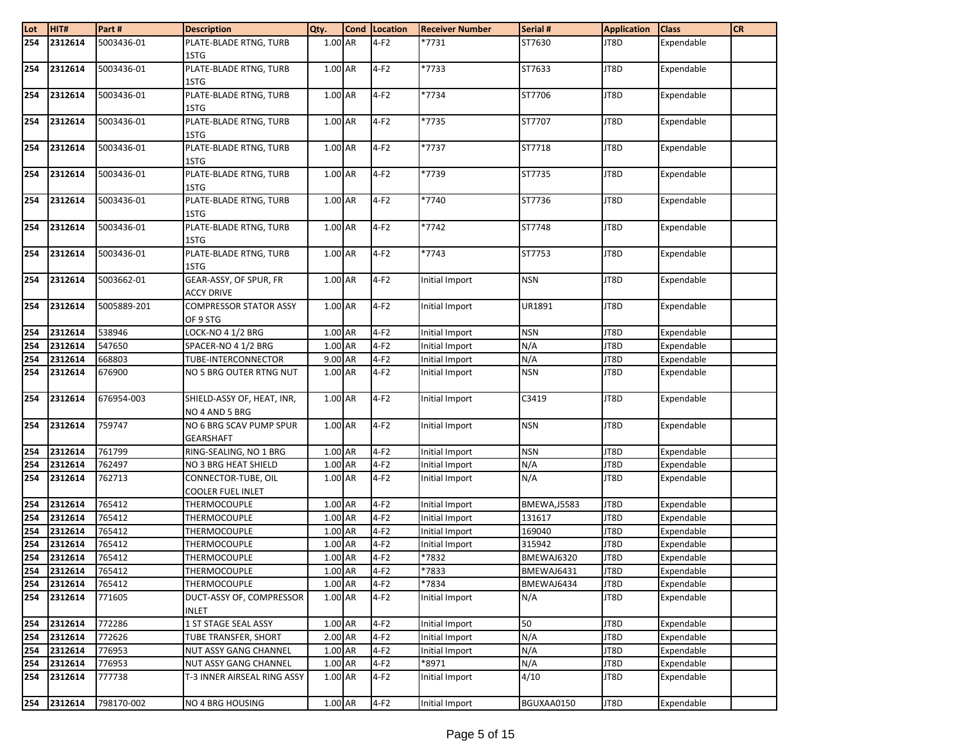| Lot | HIT#        | Part#       | <b>Description</b>            | Qty.      | Cond Location | <b>Receiver Number</b> | Serial #            | <b>Application</b> | <b>Class</b> | <b>CR</b> |
|-----|-------------|-------------|-------------------------------|-----------|---------------|------------------------|---------------------|--------------------|--------------|-----------|
| 254 | 2312614     | 5003436-01  | PLATE-BLADE RTNG, TURB        | 1.00 AR   | $4-F2$        | *7731                  | ST7630              | JT8D               | Expendable   |           |
|     |             |             | 1STG                          |           |               |                        |                     |                    |              |           |
| 254 | 2312614     | 5003436-01  | PLATE-BLADE RTNG, TURB        | 1.00 AR   | $4-F2$        | *7733                  | ST7633              | JT8D               | Expendable   |           |
|     |             |             | 1STG                          |           |               |                        |                     |                    |              |           |
| 254 | 2312614     | 5003436-01  | PLATE-BLADE RTNG, TURB        | 1.00 AR   | $4-F2$        | *7734                  | ST7706              | JT8D               | Expendable   |           |
|     |             |             | 1STG                          |           |               |                        |                     |                    |              |           |
| 254 | 2312614     | 5003436-01  | PLATE-BLADE RTNG, TURB        | $1.00$ AR | $4-F2$        | *7735                  | ST7707              | JT8D               | Expendable   |           |
|     |             |             | 1STG                          |           |               |                        |                     |                    |              |           |
| 254 | 2312614     | 5003436-01  | PLATE-BLADE RTNG, TURB        | 1.00 AR   | $4-F2$        | *7737                  | ST7718              | JT8D               | Expendable   |           |
|     |             |             | 1STG                          |           |               |                        |                     |                    |              |           |
| 254 | 2312614     | 5003436-01  | PLATE-BLADE RTNG, TURB        | 1.00 AR   | $4-F2$        | *7739                  | ST7735              | JT8D               | Expendable   |           |
|     |             |             | 1STG                          |           |               |                        |                     |                    |              |           |
| 254 | 2312614     | 5003436-01  | PLATE-BLADE RTNG, TURB        | 1.00 AR   | $4-F2$        | *7740                  | ST7736              | JT8D               | Expendable   |           |
|     |             |             | 1STG                          |           |               |                        |                     |                    |              |           |
| 254 | 2312614     | 5003436-01  | PLATE-BLADE RTNG, TURB        | 1.00 AR   | $4-F2$        | *7742                  | ST7748              | JT8D               | Expendable   |           |
|     |             |             | 1STG                          |           |               |                        |                     |                    |              |           |
| 254 | 2312614     | 5003436-01  | PLATE-BLADE RTNG, TURB        | 1.00 AR   | $4-F2$        | *7743                  | ST7753              | JT8D               | Expendable   |           |
|     |             |             | 1STG                          |           |               |                        |                     |                    |              |           |
| 254 | 2312614     | 5003662-01  | GEAR-ASSY, OF SPUR, FR        | 1.00 AR   | $4-F2$        | Initial Import         | <b>NSN</b>          | JT8D               | Expendable   |           |
|     |             |             | <b>ACCY DRIVE</b>             |           |               |                        |                     |                    |              |           |
| 254 | 2312614     | 5005889-201 | <b>COMPRESSOR STATOR ASSY</b> | 1.00 AR   | $4-F2$        | Initial Import         | UR1891              | JT8D               | Expendable   |           |
|     |             |             | OF 9 STG                      |           |               |                        |                     |                    |              |           |
| 254 | 2312614     | 538946      | LOCK-NO 4 1/2 BRG             | $1.00$ AR | $4-F2$        | Initial Import         | <b>NSN</b>          | JT8D               | Expendable   |           |
| 254 | 2312614     | 547650      | SPACER-NO 4 1/2 BRG           | 1.00 AR   | $4-F2$        | Initial Import         | N/A                 | JT8D               | Expendable   |           |
| 254 | 2312614     | 668803      | TUBE-INTERCONNECTOR           | 9.00 AR   | $4-F2$        | Initial Import         | N/A                 | JT8D               | Expendable   |           |
| 254 | 2312614     | 676900      | NO 5 BRG OUTER RTNG NUT       | 1.00 AR   | $4-F2$        | Initial Import         | <b>NSN</b>          | JT8D               | Expendable   |           |
|     |             |             |                               |           |               |                        |                     |                    |              |           |
| 254 | 2312614     | 676954-003  | SHIELD-ASSY OF, HEAT, INR,    | 1.00 AR   | $4-F2$        | Initial Import         | C3419               | JT8D               | Expendable   |           |
|     |             |             | NO 4 AND 5 BRG                |           |               |                        |                     |                    |              |           |
| 254 | 2312614     | 759747      | NO 6 BRG SCAV PUMP SPUR       | 1.00 AR   | $4-F2$        | Initial Import         | <b>NSN</b>          | JT8D               | Expendable   |           |
|     |             |             | <b>GEARSHAFT</b>              |           |               |                        |                     |                    |              |           |
| 254 | 2312614     | 761799      | RING-SEALING, NO 1 BRG        | 1.00 AR   | $4-F2$        | Initial Import         | <b>NSN</b>          | JT8D               | Expendable   |           |
| 254 | 2312614     | 762497      | NO 3 BRG HEAT SHIELD          | 1.00 AR   | $4-F2$        | Initial Import         | N/A                 | JT8D               | Expendable   |           |
| 254 | 2312614     | 762713      | CONNECTOR-TUBE, OIL           | 1.00 AR   | $4-F2$        | Initial Import         | N/A                 | JT8D               | Expendable   |           |
|     |             |             | COOLER FUEL INLET             |           |               |                        |                     |                    |              |           |
| 254 | 2312614     | 765412      | THERMOCOUPLE                  | 1.00 AR   | $4-F2$        | Initial Import         | <b>BMEWA, J5583</b> | JT8D               | Expendable   |           |
| 254 | 2312614     | 765412      | THERMOCOUPLE                  | 1.00 AR   | $4-F2$        | Initial Import         | 131617              | JT8D               | Expendable   |           |
| 254 | 2312614     | 765412      | THERMOCOUPLE                  | 1.00 AR   | $4-F2$        | Initial Import         | 169040              | JT8D               | Expendable   |           |
| 254 | 2312614     | 765412      | THERMOCOUPLE                  | 1.00 AR   | $4-F2$        | Initial Import         | 315942              | JT8D               | Expendable   |           |
| 254 | 2312614     | 765412      | THERMOCOUPLE                  | 1.00 AR   | $4-F2$        | *7832                  | BMEWAJ6320          | JT8D               | Expendable   |           |
|     | 254 2312614 | 765412      | THERMOCOUPLE                  | 1.00 AR   | $4-F2$        | *7833                  | BMEWAJ6431          | JT8D               | Expendable   |           |
| 254 | 2312614     | 765412      | THERMOCOUPLE                  | 1.00 AR   | $4-F2$        | *7834                  | BMEWAJ6434          | JT8D               | Expendable   |           |
| 254 | 2312614     | 771605      | DUCT-ASSY OF, COMPRESSOR      | 1.00 AR   | $4-F2$        | Initial Import         | N/A                 | JT8D               | Expendable   |           |
|     |             |             | <b>INLET</b>                  |           |               |                        |                     |                    |              |           |
| 254 | 2312614     | 772286      | 1 ST STAGE SEAL ASSY          | 1.00 AR   | $4-F2$        | Initial Import         | 50                  | JT8D               | Expendable   |           |
| 254 | 2312614     | 772626      | TUBE TRANSFER, SHORT          | 2.00 AR   | $4-F2$        | Initial Import         | N/A                 | JT8D               | Expendable   |           |
|     | 254 2312614 | 776953      | NUT ASSY GANG CHANNEL         | 1.00 AR   | $4-F2$        | Initial Import         | N/A                 | JT8D               | Expendable   |           |
|     | 254 2312614 | 776953      | NUT ASSY GANG CHANNEL         | $1.00$ AR | $4-F2$        | *8971                  | N/A                 | JT8D               | Expendable   |           |
|     | 254 2312614 | 777738      | T-3 INNER AIRSEAL RING ASSY   | 1.00 AR   | $4-F2$        | Initial Import         | 4/10                | JT8D               | Expendable   |           |
| 254 | 2312614     | 798170-002  | <b>NO 4 BRG HOUSING</b>       | 1.00 AR   | $4-F2$        | Initial Import         | BGUXAA0150          | JT8D               | Expendable   |           |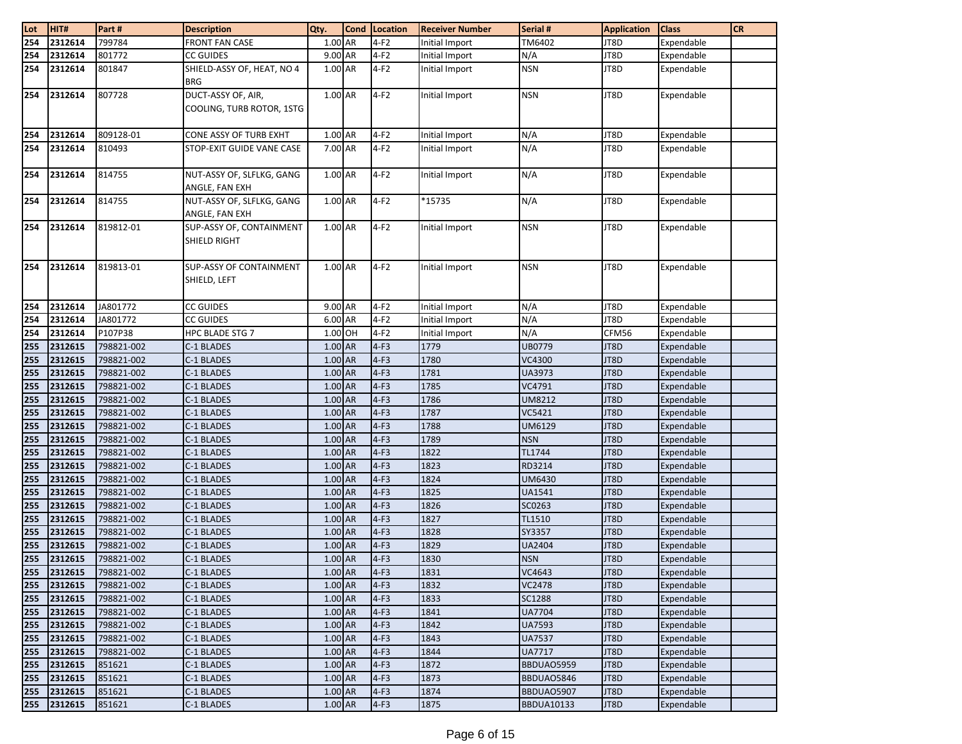| Lot        | HIT#               | Part#                    | <b>Description</b>         | Qty.               | <b>Cond</b> Location | <b>Receiver Number</b> | Serial #                | <b>Application</b> | <b>Class</b>             | <b>CR</b> |
|------------|--------------------|--------------------------|----------------------------|--------------------|----------------------|------------------------|-------------------------|--------------------|--------------------------|-----------|
| 254        | 2312614            | 799784                   | <b>FRONT FAN CASE</b>      | 1.00 AR            | $4-F2$               | Initial Import         | TM6402                  | JT8D               | Expendable               |           |
| 254        | 2312614            | 801772                   | <b>CC GUIDES</b>           | 9.00 AR            | $4-F2$               | Initial Import         | N/A                     | JT8D               | Expendable               |           |
| 254        | 2312614            | 801847                   | SHIELD-ASSY OF, HEAT, NO 4 | 1.00 AR            | $4-F2$               | Initial Import         | <b>NSN</b>              | JT8D               | Expendable               |           |
|            |                    |                          | <b>BRG</b>                 |                    |                      |                        |                         |                    |                          |           |
| 254        | 2312614            | 807728                   | DUCT-ASSY OF, AIR,         | 1.00 AR            | $4-F2$               | Initial Import         | <b>NSN</b>              | JT8D               | Expendable               |           |
|            |                    |                          | COOLING, TURB ROTOR, 1STG  |                    |                      |                        |                         |                    |                          |           |
|            |                    |                          |                            |                    |                      |                        |                         |                    |                          |           |
| 254        | 2312614            | 809128-01                | CONE ASSY OF TURB EXHT     | 1.00 AR            | $4-F2$               | Initial Import         | N/A                     | JT8D               | Expendable               |           |
| 254        | 2312614            | 810493                   | STOP-EXIT GUIDE VANE CASE  | 7.00 AR            | $4-F2$               | Initial Import         | N/A                     | JT8D               | Expendable               |           |
|            |                    |                          |                            |                    |                      |                        |                         |                    |                          |           |
| 254        | 2312614            | 814755                   | NUT-ASSY OF, SLFLKG, GANG  | 1.00 AR            | $4-F2$               | Initial Import         | N/A                     | JT8D               | Expendable               |           |
|            |                    |                          | ANGLE, FAN EXH             |                    |                      |                        |                         |                    |                          |           |
| 254        | 2312614            | 814755                   | NUT-ASSY OF, SLFLKG, GANG  | 1.00 AR            | $4-F2$               | *15735                 | N/A                     | JT8D               | Expendable               |           |
|            |                    |                          | ANGLE, FAN EXH             |                    |                      |                        |                         |                    |                          |           |
| 254        | 2312614            | 819812-01                | SUP-ASSY OF, CONTAINMENT   | 1.00 AR            | $4-F2$               | Initial Import         | <b>NSN</b>              | JT8D               | Expendable               |           |
|            |                    |                          | SHIELD RIGHT               |                    |                      |                        |                         |                    |                          |           |
|            |                    |                          |                            |                    |                      |                        |                         |                    |                          |           |
| 254        | 2312614            | 819813-01                | SUP-ASSY OF CONTAINMENT    | 1.00 AR            | $4-F2$               | Initial Import         | <b>NSN</b>              | JT8D               | Expendable               |           |
|            |                    |                          | SHIELD, LEFT               |                    |                      |                        |                         |                    |                          |           |
|            |                    |                          |                            |                    |                      |                        |                         |                    |                          |           |
| 254        | 2312614            | JA801772                 | <b>CC GUIDES</b>           | 9.00 AR            | $4-F2$               | Initial Import         | N/A                     | JT8D               | Expendable               |           |
| 254        | 2312614            | JA801772                 | <b>CC GUIDES</b>           | 6.00 AR            | $4-F2$               | Initial Import         | N/A                     | JT8D               | Expendable               |           |
| 254        | 2312614            | P107P38                  | HPC BLADE STG 7            | 1.00 OH            | $4-F2$               | Initial Import         | N/A<br><b>UB0779</b>    | CFM56              | Expendable               |           |
| 255        | 2312615<br>2312615 | 798821-002<br>798821-002 | C-1 BLADES                 | 1.00 AR<br>1.00 AR | $4-F3$               | 1779                   |                         | JT8D<br>JT8D       | Expendable<br>Expendable |           |
| 255        |                    |                          | C-1 BLADES                 | 1.00 AR            | $4-F3$<br>$4-F3$     | 1780<br>1781           | VC4300                  |                    |                          |           |
| 255        | 2312615            | 798821-002               | C-1 BLADES                 |                    |                      |                        | UA3973                  | JT8D               | Expendable               |           |
| 255        | 2312615<br>2312615 | 798821-002               | C-1 BLADES                 | 1.00 AR            | $4-F3$<br>$4-F3$     | 1785                   | VC4791                  | JT8D<br>JT8D       | Expendable               |           |
| 255<br>255 | 2312615            | 798821-002<br>798821-002 | C-1 BLADES<br>C-1 BLADES   | 1.00 AR<br>1.00 AR | $4-F3$               | 1786<br>1787           | <b>UM8212</b><br>VC5421 | JT8D               | Expendable<br>Expendable |           |
|            | 2312615            |                          | C-1 BLADES                 | 1.00 AR            | $4-F3$               | 1788                   | UM6129                  | JT8D               | Expendable               |           |
| 255        |                    | 798821-002               |                            | 1.00 AR            | $4-F3$               |                        | <b>NSN</b>              |                    |                          |           |
| 255<br>255 | 2312615<br>2312615 | 798821-002<br>798821-002 | C-1 BLADES<br>C-1 BLADES   | $1.00$ AR          | $4-F3$               | 1789<br>1822           | TL1744                  | JT8D<br>JT8D       | Expendable               |           |
| 255        | 2312615            | 798821-002               | C-1 BLADES                 | 1.00 AR            | $4-F3$               | 1823                   | RD3214                  | JT8D               | Expendable<br>Expendable |           |
| 255        | 2312615            | 798821-002               | C-1 BLADES                 | 1.00 AR            | $4-F3$               | 1824                   | UM6430                  | JT8D               | Expendable               |           |
| 255        | 2312615            | 798821-002               | C-1 BLADES                 | 1.00 AR            | $4-F3$               | 1825                   | UA1541                  | JT8D               | Expendable               |           |
| 255        | 2312615            | 798821-002               | C-1 BLADES                 | 1.00 AR            | $4-F3$               | 1826                   | SC0263                  | JT8D               | Expendable               |           |
| 255        | 2312615            | 798821-002               | C-1 BLADES                 | 1.00 AR            | $4-F3$               | 1827                   | TL1510                  | JT8D               | Expendable               |           |
| 255        | 2312615            | 798821-002               | C-1 BLADES                 | 1.00 AR            | $4-F3$               | 1828                   | SY3357                  | JT8D               | Expendable               |           |
| 255        | 2312615            | 798821-002               | C-1 BLADES                 | 1.00 AR            | $4-F3$               | 1829                   | <b>UA2404</b>           | JT8D               | Expendable               |           |
| 255        | 2312615            | 798821-002               | C-1 BLADES                 | 1.00 AR            | $4-F3$               | 1830                   | <b>NSN</b>              | JT8D               | Expendable               |           |
| 255        | 2312615            | 798821-002               | C-1 BLADES                 | 1.00 AR            | $4-F3$               | 1831                   | VC4643                  | JT8D               | Expendable               |           |
| 255        | 2312615            | 798821-002               | C-1 BLADES                 | 1.00 AR            | $4-F3$               | 1832                   | <b>VC2478</b>           | JT8D               | Expendable               |           |
| 255        | 2312615            | 798821-002               | C-1 BLADES                 | 1.00 AR            | $4-F3$               | 1833                   | SC1288                  | JT8D               | Expendable               |           |
| 255        | 2312615            | 798821-002               | C-1 BLADES                 | 1.00 AR            | $4-F3$               | 1841                   | <b>UA7704</b>           | JT8D               | Expendable               |           |
| 255        | 2312615            | 798821-002               | C-1 BLADES                 | 1.00 AR            | $4-F3$               | 1842                   | <b>UA7593</b>           | JT8D               | Expendable               |           |
| 255        | 2312615            | 798821-002               | C-1 BLADES                 | 1.00 AR            | $4-F3$               | 1843                   | <b>UA7537</b>           | JT8D               | Expendable               |           |
| 255        | 2312615            | 798821-002               | C-1 BLADES                 | 1.00 AR            | $4-F3$               | 1844                   | <b>UA7717</b>           | JT8D               | Expendable               |           |
| 255        | 2312615            | 851621                   | C-1 BLADES                 | 1.00 AR            | $4-F3$               | 1872                   | BBDUA05959              | JT8D               | Expendable               |           |
| 255        | 2312615            | 851621                   | C-1 BLADES                 | 1.00 AR            | $4-F3$               | 1873                   | BBDUAO5846              | JT8D               | Expendable               |           |
| 255        | 2312615            | 851621                   | C-1 BLADES                 | 1.00 AR            | $4-F3$               | 1874                   | BBDUAO5907              | JT8D               | Expendable               |           |
| 255        | 2312615            | 851621                   | C-1 BLADES                 | $1.00$ AR          | $4-F3$               | 1875                   | <b>BBDUA10133</b>       | JT8D               | Expendable               |           |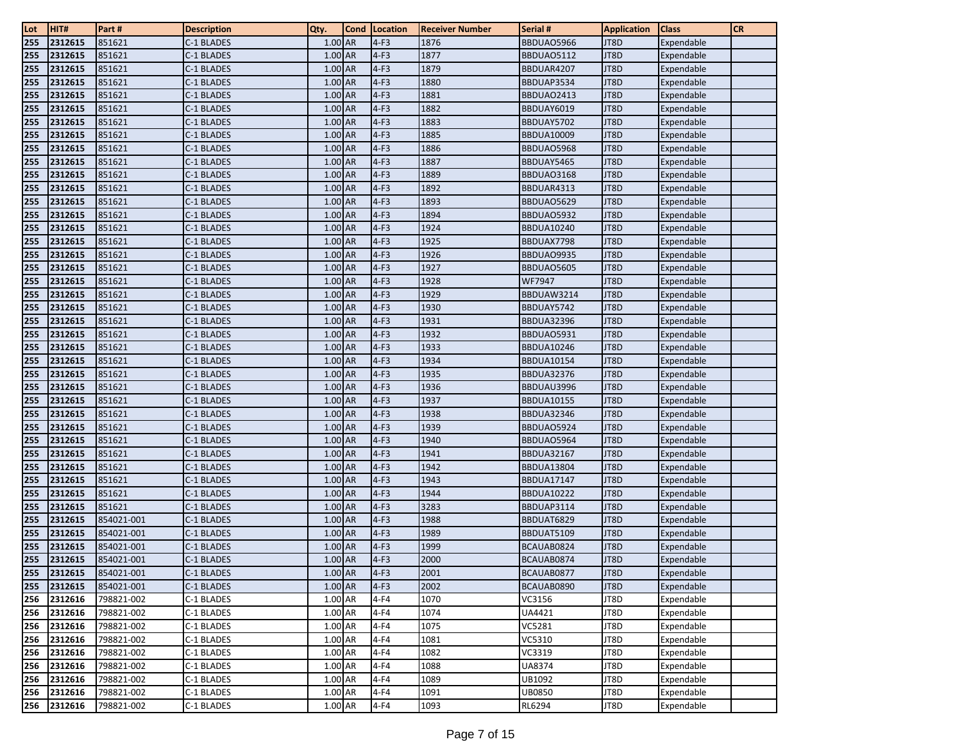| Lot        | HIT#               | Part#                    | <b>Description</b>       | Qty.                 | <b>Cond</b> | Location         | <b>Receiver Number</b> | Serial #                 | <b>Application</b> | <b>Class</b>             | <b>CR</b> |
|------------|--------------------|--------------------------|--------------------------|----------------------|-------------|------------------|------------------------|--------------------------|--------------------|--------------------------|-----------|
| 255        | 2312615            | 851621                   | C-1 BLADES               | 1.00 AR              |             | $4-F3$           | 1876                   | BBDUA05966               | JT8D               | Expendable               |           |
| 255        | 2312615            | 851621                   | C-1 BLADES               | 1.00 AR              |             | $4-F3$           | 1877                   | BBDUAO5112               | JT8D               | Expendable               |           |
| 255        | 2312615            | 851621                   | C-1 BLADES               | 1.00 AR              |             | $4-F3$           | 1879                   | BBDUAR4207               | JT8D               | Expendable               |           |
| 255        | 2312615            | 851621                   | C-1 BLADES               | 1.00 AR              |             | $4-F3$           | 1880                   | BBDUAP3534               | JT8D               | Expendable               |           |
| 255        | 2312615            | 851621                   | C-1 BLADES               | 1.00 AR              |             | $4-F3$           | 1881                   | BBDUAO2413               | JT8D               | Expendable               |           |
| 255        | 2312615            | 851621                   | C-1 BLADES               | 1.00 AR              |             | $4-F3$           | 1882                   | BBDUAY6019               | JT8D               | Expendable               |           |
| 255        | 2312615            | 851621                   | C-1 BLADES               | 1.00 AR              |             | $4-F3$           | 1883                   | BBDUAY5702               | JT8D               | Expendable               |           |
| 255        | 2312615            | 851621                   | C-1 BLADES               | 1.00 AR              |             | $4-F3$           | 1885                   | <b>BBDUA10009</b>        | JT8D               | Expendable               |           |
| 255        | 2312615            | 851621                   | C-1 BLADES               | 1.00 AR              |             | $4-F3$           | 1886                   | BBDUAO5968               | JT8D               | Expendable               |           |
| 255        | 2312615            | 851621                   | C-1 BLADES               | $1.00$ AR            |             | $4-F3$           | 1887                   | BBDUAY5465               | JT8D               | Expendable               |           |
| 255        | 2312615            | 851621                   | C-1 BLADES               | 1.00 AR              |             | $4-F3$           | 1889                   | BBDUA03168               | JT8D               | Expendable               |           |
| 255        | 2312615            | 851621                   | C-1 BLADES               | 1.00 AR              |             | $4-F3$           | 1892                   | BBDUAR4313               | JT8D               | Expendable               |           |
| 255        | 2312615            | 851621                   | C-1 BLADES               | 1.00 AR              |             | $4-F3$           | 1893                   | BBDUAO5629               | JT8D               | Expendable               |           |
| 255        | 2312615            | 851621                   | C-1 BLADES               | 1.00 AR              |             | $4-F3$           | 1894                   | BBDUA05932               | JT8D               | Expendable               |           |
| 255        | 2312615            | 851621                   | C-1 BLADES               | 1.00 AR              |             | $4-F3$           | 1924                   | <b>BBDUA10240</b>        | JT8D               | Expendable               |           |
| 255        | 2312615            | 851621                   | C-1 BLADES               | 1.00 AR              |             | $4-F3$           | 1925                   | BBDUAX7798               | JT8D               | Expendable               |           |
| 255        | 2312615            | 851621                   | C-1 BLADES               | 1.00 AR              |             | $4-F3$           | 1926                   | BBDUAO9935               | JT8D               | Expendable               |           |
| 255        | 2312615            | 851621                   | C-1 BLADES               | 1.00 AR              |             | $4-F3$           | 1927                   | BBDUAO5605               | JT8D               | Expendable               |           |
| 255        | 2312615            | 851621                   | C-1 BLADES               | 1.00 AR              |             | $4-F3$           | 1928                   | WF7947                   | JT8D               | Expendable               |           |
| 255        | 2312615            | 851621                   | C-1 BLADES               | 1.00 AR              |             | $4-F3$           | 1929                   | BBDUAW3214               | JT8D               | Expendable               |           |
| 255        | 2312615            | 851621                   | C-1 BLADES               | 1.00 AR              |             | $4-F3$           | 1930                   | BBDUAY5742               | JT8D               | Expendable               |           |
| 255        | 2312615            | 851621                   | C-1 BLADES               | 1.00 AR              |             | $4-F3$           | 1931                   | <b>BBDUA32396</b>        | JT8D               | Expendable               |           |
| 255        | 2312615            | 851621                   | C-1 BLADES               | 1.00 AR              |             | $4-F3$           | 1932                   | BBDUAO5931               | JT8D               | Expendable               |           |
| 255        | 2312615            | 851621                   | C-1 BLADES               | 1.00 AR              |             | $4-F3$           | 1933                   | <b>BBDUA10246</b>        | JT8D               | Expendable               |           |
| 255        | 2312615            | 851621                   | C-1 BLADES               | 1.00 AR              |             | $4-F3$           | 1934                   | <b>BBDUA10154</b>        | JT8D               | Expendable               |           |
| 255        | 2312615            | 851621                   | C-1 BLADES               | 1.00 AR              |             | $4-F3$           | 1935                   | <b>BBDUA32376</b>        | JT8D               | Expendable               |           |
| 255        | 2312615            | 851621                   | C-1 BLADES               | 1.00 AR              |             | $4-F3$           | 1936                   | BBDUAU3996               | JT8D               | Expendable               |           |
| 255        | 2312615            | 851621                   | C-1 BLADES               | 1.00 AR              |             | $4-F3$           | 1937                   | <b>BBDUA10155</b>        | JT8D               | Expendable               |           |
| 255        | 2312615            | 851621                   | C-1 BLADES               | 1.00 AR              |             | $4-F3$           | 1938                   | <b>BBDUA32346</b>        | JT8D               | Expendable               |           |
| 255        | 2312615            | 851621                   | C-1 BLADES               | 1.00 AR              |             | $4-F3$           | 1939                   | BBDUAO5924               | JT8D               | Expendable               |           |
| 255        | 2312615            | 851621                   | C-1 BLADES               | 1.00 AR              |             | $4-F3$           | 1940                   | BBDUAO5964               | JT8D               | Expendable               |           |
| 255        | 2312615            | 851621                   | C-1 BLADES               | 1.00 AR              |             | $4-F3$           | 1941                   | <b>BBDUA32167</b>        | JT8D               | Expendable               |           |
| 255        | 2312615            | 851621                   | C-1 BLADES               | 1.00 AR              |             | $4-F3$           | 1942                   | <b>BBDUA13804</b>        | JT8D               | Expendable               |           |
| 255        | 2312615            | 851621                   | C-1 BLADES               | 1.00 AR              |             | $4-F3$           | 1943                   | <b>BBDUA17147</b>        | JT8D               | Expendable               |           |
| 255        | 2312615            | 851621                   | C-1 BLADES               | 1.00 AR              |             | $4-F3$           | 1944                   | <b>BBDUA10222</b>        | JT8D               | Expendable               |           |
| 255        | 2312615            | 851621                   | C-1 BLADES               | 1.00 AR              |             | $4-F3$           | 3283                   | BBDUAP3114               | JT8D               | Expendable               |           |
| 255        | 2312615            | 854021-001               | C-1 BLADES               | 1.00 AR              |             | $4-F3$           | 1988                   | BBDUAT6829               | JT8D               | Expendable               |           |
| 255<br>255 | 2312615            | 854021-001               | C-1 BLADES               | $1.00$ AR<br>1.00 AR |             | $4-F3$<br>$4-F3$ | 1989<br>1999           | BBDUAT5109               | JT8D<br>JT8D       | Expendable               |           |
| 255        | 2312615            | 854021-001               | C-1 BLADES               | 1.00 AR              |             | $4-F3$           | 2000                   | BCAUAB0824<br>BCAUAB0874 | JT8D               | Expendable               |           |
|            | 2312615<br>2312615 | 854021-001<br>854021-001 | C-1 BLADES<br>C-1 BLADES | 1.00 AR              |             | $4-F3$           | 2001                   | BCAUAB0877               | JT8D               | Expendable<br>Expendable |           |
| 255<br>255 | 2312615            | 854021-001               | C-1 BLADES               | 1.00 AR              |             | $4-F3$           | 2002                   | BCAUAB0890               | JT8D               | Expendable               |           |
| 256        | 2312616            | 798821-002               | C-1 BLADES               | 1.00 AR              |             | $4-F4$           | 1070                   | VC3156                   | JT8D               | Expendable               |           |
|            |                    |                          |                          |                      |             |                  |                        |                          |                    |                          |           |
| 256<br>256 | 2312616<br>2312616 | 798821-002<br>798821-002 | C-1 BLADES<br>C-1 BLADES | 1.00 AR<br>1.00 AR   |             | $4-F4$<br>$4-F4$ | 1074<br>1075           | UA4421<br>VC5281         | JT8D<br>JT8D       | Expendable<br>Expendable |           |
| 256        | 2312616            | 798821-002               | C-1 BLADES               | 1.00 AR              |             | $4-F4$           | 1081                   | VC5310                   | JT8D               | Expendable               |           |
| 256        | 2312616            | 798821-002               | C-1 BLADES               | 1.00 AR              |             | $4-F4$           | 1082                   | VC3319                   | JT8D               | Expendable               |           |
| 256        | 2312616            | 798821-002               | C-1 BLADES               | 1.00 AR              |             | $4-F4$           | 1088                   | UA8374                   | JT8D               | Expendable               |           |
| 256        | 2312616            | 798821-002               | C-1 BLADES               | 1.00 AR              |             | $4-F4$           | 1089                   | UB1092                   | JT8D               | Expendable               |           |
| 256        | 2312616            | 798821-002               | C-1 BLADES               | 1.00 AR              |             | $4-F4$           | 1091                   | UB0850                   | JT8D               | Expendable               |           |
|            | 256 2312616        | 798821-002               | C-1 BLADES               | 1.00 AR              |             | $4-F4$           | 1093                   | RL6294                   | JT8D               | Expendable               |           |
|            |                    |                          |                          |                      |             |                  |                        |                          |                    |                          |           |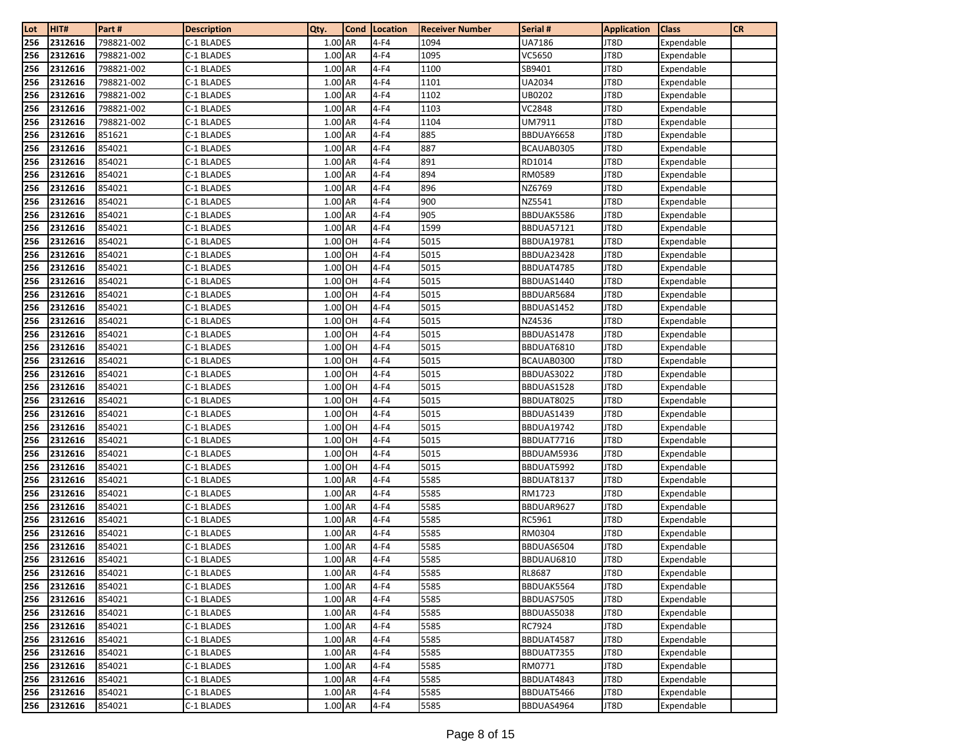| Lot        | HIT#               | Part #           | <b>Description</b>       | Qty.               | <b>Cond</b> | Location         | <b>Receiver Number</b> | Serial #                 | <b>Application</b> | <b>Class</b>             | <b>CR</b> |
|------------|--------------------|------------------|--------------------------|--------------------|-------------|------------------|------------------------|--------------------------|--------------------|--------------------------|-----------|
| 256        | 2312616            | 798821-002       | C-1 BLADES               | 1.00 AR            |             | $4-F4$           | 1094                   | UA7186                   | JT8D               | Expendable               |           |
| 256        | 2312616            | 798821-002       | C-1 BLADES               | 1.00 AR            |             | $4-F4$           | 1095                   | VC5650                   | JT8D               | Expendable               |           |
| 256        | 2312616            | 798821-002       | C-1 BLADES               | 1.00 AR            |             | $4-F4$           | 1100                   | SB9401                   | JT8D               | Expendable               |           |
| 256        | 2312616            | 798821-002       | C-1 BLADES               | 1.00 AR            |             | $4-F4$           | 1101                   | UA2034                   | JT8D               | Expendable               |           |
| 256        | 2312616            | 798821-002       | C-1 BLADES               | 1.00 AR            |             | $4-F4$           | 1102                   | UB0202                   | JT8D               | Expendable               |           |
| 256        | 2312616            | 798821-002       | C-1 BLADES               | 1.00 AR            |             | $4-F4$           | 1103                   | <b>VC2848</b>            | JT8D               | Expendable               |           |
| 256        | 2312616            | 798821-002       | C-1 BLADES               | 1.00 AR            |             | $4-F4$           | 1104                   | UM7911                   | JT8D               | Expendable               |           |
| 256        | 2312616            | 851621           | C-1 BLADES               | 1.00 AR            |             | $4-F4$           | 885                    | BBDUAY6658               | JT8D               | Expendable               |           |
| 256        | 2312616            | 854021           | C-1 BLADES               | 1.00 AR            |             | $4-F4$           | 887                    | BCAUAB0305               | JT8D               | Expendable               |           |
| 256        | 2312616            | 854021           | C-1 BLADES               | 1.00 AR            |             | $4-F4$           | 891                    | RD1014                   | JT8D               | Expendable               |           |
| 256        | 2312616            | 854021           | C-1 BLADES               | 1.00 AR            |             | $4-F4$           | 894                    | RM0589                   | JT8D               | Expendable               |           |
| 256        | 2312616            | 854021           | C-1 BLADES               | 1.00 AR            |             | $4-F4$           | 896                    | NZ6769                   | JT8D               | Expendable               |           |
| 256        | 2312616            | 854021           | C-1 BLADES               | 1.00 AR            |             | $4-F4$           | 900                    | NZ5541                   | JT8D               | Expendable               |           |
| 256        | 2312616            | 854021           | C-1 BLADES               | 1.00 AR            |             | $4-F4$           | 905                    | BBDUAK5586               | JT8D               | Expendable               |           |
| 256        | 2312616            | 854021           | C-1 BLADES               | 1.00 AR            |             | $4-F4$           | 1599                   | <b>BBDUA57121</b>        | JT8D               | Expendable               |           |
| 256        | 2312616            | 854021           | C-1 BLADES               | 1.00 OH            |             | $4-F4$           | 5015                   | <b>BBDUA19781</b>        | JT8D               | Expendable               |           |
| 256        | 2312616            | 854021           | C-1 BLADES               | 1.00 OH            |             | $4-F4$           | 5015                   | <b>BBDUA23428</b>        | JT8D               | Expendable               |           |
| 256        | 2312616            | 854021           | C-1 BLADES               | 1.00 OH            |             | $4-F4$           | 5015                   | BBDUAT4785               | JT8D               | Expendable               |           |
| 256        | 2312616            | 854021           | C-1 BLADES               | 1.00 OH            |             | $4-F4$           | 5015                   | BBDUAS1440               | JT8D               | Expendable               |           |
| 256        | 2312616            | 854021           | C-1 BLADES               | 1.00 OH            |             | $4-F4$           | 5015                   | BBDUAR5684               | JT8D               | Expendable               |           |
| 256        | 2312616            | 854021           | C-1 BLADES               | 1.00 OH            |             | $4-F4$           | 5015                   | BBDUAS1452               | JT8D               | Expendable               |           |
| 256        | 2312616            | 854021           | C-1 BLADES               | 1.00 OH            |             | $4-F4$           | 5015                   | NZ4536                   | JT8D               | Expendable               |           |
| 256        | 2312616            | 854021           | C-1 BLADES               | 1.00 OH            |             | $4-F4$           | 5015                   | BBDUAS1478               | JT8D               | Expendable               |           |
| 256        | 2312616            | 854021           | C-1 BLADES               | 1.00 OH            |             | $4-F4$           | 5015                   | BBDUAT6810               | JT8D               | Expendable               |           |
| 256<br>256 | 2312616            | 854021<br>854021 | C-1 BLADES               | 1.00 OH<br>1.00 OH |             | $4-F4$<br>$4-F4$ | 5015<br>5015           | BCAUAB0300               | JT8D<br>JT8D       | Expendable               |           |
|            | 2312616            |                  | C-1 BLADES               | 1.00 OH            |             |                  | 5015                   | BBDUAS3022               |                    | Expendable               |           |
| 256<br>256 | 2312616            | 854021<br>854021 | C-1 BLADES               | 1.00 OH            |             | $4-F4$<br>$4-F4$ | 5015                   | BBDUAS1528               | JT8D<br>JT8D       | Expendable               |           |
| 256        | 2312616<br>2312616 | 854021           | C-1 BLADES<br>C-1 BLADES | 1.00 OH            |             | $4-F4$           | 5015                   | BBDUAT8025<br>BBDUAS1439 | JT8D               | Expendable<br>Expendable |           |
| 256        | 2312616            | 854021           | C-1 BLADES               | 1.00 OH            |             | $4-F4$           | 5015                   | <b>BBDUA19742</b>        | JT8D               | Expendable               |           |
| 256        | 2312616            | 854021           | C-1 BLADES               | 1.00 OH            |             | $4-F4$           | 5015                   | BBDUAT7716               | JT8D               | Expendable               |           |
| 256        | 2312616            | 854021           | C-1 BLADES               | 1.00 OH            |             | $4-F4$           | 5015                   | BBDUAM5936               | JT8D               | Expendable               |           |
| 256        | 2312616            | 854021           | C-1 BLADES               | 1.00 OH            |             | $4-F4$           | 5015                   | BBDUAT5992               | JT8D               | Expendable               |           |
| 256        | 2312616            | 854021           | C-1 BLADES               | 1.00 AR            |             | $4-F4$           | 5585                   | BBDUAT8137               | JT8D               | Expendable               |           |
| 256        | 2312616            | 854021           | C-1 BLADES               | 1.00 AR            |             | $4-F4$           | 5585                   | RM1723                   | JT8D               | Expendable               |           |
| 256        | 2312616            | 854021           | C-1 BLADES               | 1.00 AR            |             | $4-F4$           | 5585                   | BBDUAR9627               | JT8D               | Expendable               |           |
| 256        | 2312616            | 854021           | C-1 BLADES               | 1.00 AR            |             | $4-F4$           | 5585                   | RC5961                   | JT8D               | Expendable               |           |
| 256        | 2312616            | 854021           | C-1 BLADES               | 1.00 AR            |             | $4-F4$           | 5585                   | RM0304                   | JT8D               | Expendable               |           |
| 256        | 2312616            | 854021           | C-1 BLADES               | 1.00 AR            |             | $4-F4$           | 5585                   | BBDUAS6504               | JT8D               | Expendable               |           |
| 256        | 2312616            | 854021           | C-1 BLADES               | 1.00 AR            |             | $4-F4$           | 5585                   | BBDUAU6810               | JT8D               | Expendable               |           |
| 256        | 2312616            | 854021           | C-1 BLADES               | 1.00 AR            |             | $4-F4$           | 5585                   | <b>RL8687</b>            | JT8D               | Expendable               |           |
| 256        | 2312616            | 854021           | C-1 BLADES               | 1.00 AR            |             | $4-F4$           | 5585                   | BBDUAK5564               | JT8D               | Expendable               |           |
| 256        | 2312616            | 854021           | C-1 BLADES               | 1.00 AR            |             | $4-F4$           | 5585                   | BBDUAS7505               | JT8D               | Expendable               |           |
| 256        | 2312616            | 854021           | C-1 BLADES               | 1.00 AR            |             | $4-F4$           | 5585                   | BBDUAS5038               | JT8D               | Expendable               |           |
| 256        | 2312616            | 854021           | C-1 BLADES               | 1.00 AR            |             | $4-F4$           | 5585                   | RC7924                   | JT8D               | Expendable               |           |
| 256        | 2312616            | 854021           | C-1 BLADES               | 1.00 AR            |             | $4-F4$           | 5585                   | BBDUAT4587               | JT8D               | Expendable               |           |
| 256        | 2312616            | 854021           | C-1 BLADES               | 1.00 AR            |             | $4-F4$           | 5585                   | BBDUAT7355               | JT8D               | Expendable               |           |
| 256        | 2312616            | 854021           | C-1 BLADES               | 1.00 AR            |             | $4-F4$           | 5585                   | RM0771                   | JT8D               | Expendable               |           |
| 256        | 2312616            | 854021           | C-1 BLADES               | 1.00 AR            |             | $4-F4$           | 5585                   | BBDUAT4843               | JT8D               | Expendable               |           |
| 256        | 2312616            | 854021           | C-1 BLADES               | 1.00 AR            |             | $4-F4$           | 5585                   | BBDUAT5466               | JT8D               | Expendable               |           |
| 256        | 2312616            | 854021           | C-1 BLADES               | 1.00 AR            |             | $4-F4$           | 5585                   | BBDUAS4964               | JT8D               | Expendable               |           |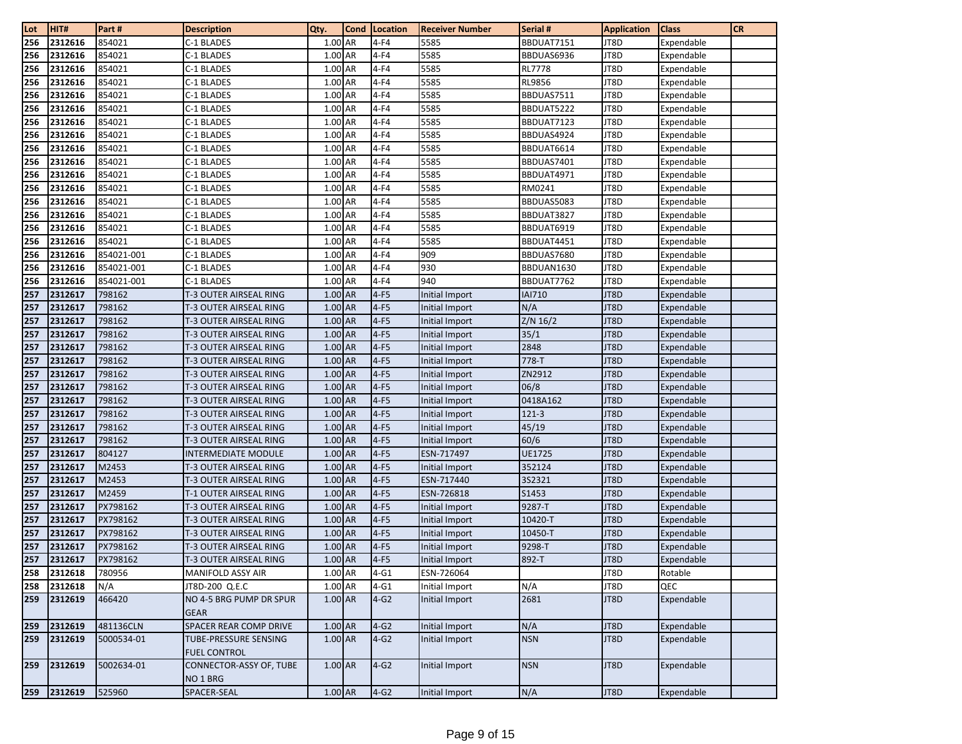| Lot | HIT#    | Part #     | <b>Description</b>             | Qty.      | <b>Cond</b> | Location | <b>Receiver Number</b> | Serial #      | <b>Application</b> | <b>Class</b> | <b>CR</b> |
|-----|---------|------------|--------------------------------|-----------|-------------|----------|------------------------|---------------|--------------------|--------------|-----------|
| 256 | 2312616 | 854021     | C-1 BLADES                     | 1.00 AR   |             | $4-F4$   | 5585                   | BBDUAT7151    | JT8D               | Expendable   |           |
| 256 | 2312616 | 854021     | C-1 BLADES                     | 1.00 AR   |             | $4-F4$   | 5585                   | BBDUAS6936    | JT8D               | Expendable   |           |
| 256 | 2312616 | 854021     | C-1 BLADES                     | 1.00 AR   |             | $4-F4$   | 5585                   | <b>RL7778</b> | JT8D               | Expendable   |           |
| 256 | 2312616 | 854021     | C-1 BLADES                     | 1.00 AR   |             | $4-F4$   | 5585                   | <b>RL9856</b> | JT8D               | Expendable   |           |
| 256 | 2312616 | 854021     | C-1 BLADES                     | 1.00 AR   |             | $4-F4$   | 5585                   | BBDUAS7511    | JT8D               | Expendable   |           |
| 256 | 2312616 | 854021     | C-1 BLADES                     | 1.00 AR   |             | $4-F4$   | 5585                   | BBDUAT5222    | JT8D               | Expendable   |           |
| 256 | 2312616 | 854021     | C-1 BLADES                     | 1.00 AR   |             | $4-F4$   | 5585                   | BBDUAT7123    | JT8D               | Expendable   |           |
| 256 | 2312616 | 854021     | C-1 BLADES                     | 1.00 AR   |             | $4-F4$   | 5585                   | BBDUAS4924    | JT8D               | Expendable   |           |
| 256 | 2312616 | 854021     | C-1 BLADES                     | 1.00 AR   |             | $4-F4$   | 5585                   | BBDUAT6614    | JT8D               | Expendable   |           |
| 256 | 2312616 | 854021     | C-1 BLADES                     | 1.00 AR   |             | $4-F4$   | 5585                   | BBDUAS7401    | JT8D               | Expendable   |           |
| 256 | 2312616 | 854021     | C-1 BLADES                     | 1.00 AR   |             | $4-F4$   | 5585                   | BBDUAT4971    | JT8D               | Expendable   |           |
| 256 | 2312616 | 854021     | C-1 BLADES                     | 1.00 AR   |             | $4-F4$   | 5585                   | RM0241        | JT8D               | Expendable   |           |
| 256 | 2312616 | 854021     | C-1 BLADES                     | 1.00 AR   |             | $4-F4$   | 5585                   | BBDUAS5083    | JT8D               | Expendable   |           |
| 256 | 2312616 | 854021     | C-1 BLADES                     | 1.00 AR   |             | $4-F4$   | 5585                   | BBDUAT3827    | JT8D               | Expendable   |           |
| 256 | 2312616 | 854021     | C-1 BLADES                     | 1.00 AR   |             | $4-F4$   | 5585                   | BBDUAT6919    | JT8D               | Expendable   |           |
| 256 | 2312616 | 854021     | C-1 BLADES                     | 1.00 AR   |             | $4-F4$   | 5585                   | BBDUAT4451    | JT8D               | Expendable   |           |
| 256 | 2312616 | 854021-001 | C-1 BLADES                     | 1.00 AR   |             | $4-F4$   | 909                    | BBDUAS7680    | JT8D               | Expendable   |           |
| 256 | 2312616 | 854021-001 | C-1 BLADES                     | 1.00 AR   |             | $4-F4$   | 930                    | BBDUAN1630    | JT8D               | Expendable   |           |
| 256 | 2312616 | 854021-001 | C-1 BLADES                     | 1.00 AR   |             | $4-F4$   | 940                    | BBDUAT7762    | JT8D               | Expendable   |           |
| 257 | 2312617 | 798162     | T-3 OUTER AIRSEAL RING         | 1.00 AR   |             | $4-F5$   | Initial Import         | <b>IAI710</b> | JT8D               | Expendable   |           |
| 257 | 2312617 | 798162     | T-3 OUTER AIRSEAL RING         | 1.00 AR   |             | $4-F5$   | Initial Import         | N/A           | JT8D               | Expendable   |           |
| 257 | 2312617 | 798162     | T-3 OUTER AIRSEAL RING         | 1.00 AR   |             | $4-F5$   | Initial Import         | Z/N 16/2      | JT8D               | Expendable   |           |
| 257 | 2312617 | 798162     | T-3 OUTER AIRSEAL RING         | 1.00 AR   |             | $4-F5$   | Initial Import         | 35/1          | JT8D               | Expendable   |           |
| 257 | 2312617 | 798162     | T-3 OUTER AIRSEAL RING         | 1.00 AR   |             | $4-F5$   | Initial Import         | 2848          | JT8D               | Expendable   |           |
| 257 | 2312617 | 798162     | T-3 OUTER AIRSEAL RING         | 1.00 AR   |             | $4-F5$   | Initial Import         | 778-T         | JT8D               | Expendable   |           |
| 257 | 2312617 | 798162     | T-3 OUTER AIRSEAL RING         | 1.00 AR   |             | $4-F5$   | Initial Import         | ZN2912        | JT8D               | Expendable   |           |
| 257 | 2312617 | 798162     | T-3 OUTER AIRSEAL RING         | 1.00 AR   |             | $4-F5$   | Initial Import         | 06/8          | JT8D               | Expendable   |           |
| 257 | 2312617 | 798162     | T-3 OUTER AIRSEAL RING         | 1.00 AR   |             | $4-F5$   | Initial Import         | 0418A162      | JT8D               | Expendable   |           |
| 257 | 2312617 | 798162     | T-3 OUTER AIRSEAL RING         | 1.00 AR   |             | $4-F5$   | Initial Import         | 121-3         | JT8D               | Expendable   |           |
| 257 | 2312617 | 798162     | T-3 OUTER AIRSEAL RING         | 1.00 AR   |             | $4-F5$   | Initial Import         | 45/19         | JT8D               | Expendable   |           |
| 257 | 2312617 | 798162     | T-3 OUTER AIRSEAL RING         | 1.00 AR   |             | $4-F5$   | Initial Import         | 60/6          | JT8D               | Expendable   |           |
| 257 | 2312617 | 804127     | <b>INTERMEDIATE MODULE</b>     | 1.00 AR   |             | $4-F5$   | ESN-717497             | UE1725        | JT8D               | Expendable   |           |
| 257 | 2312617 | M2453      | T-3 OUTER AIRSEAL RING         | 1.00 AR   |             | $4-F5$   | Initial Import         | 352124        | JT8D               | Expendable   |           |
| 257 | 2312617 | M2453      | T-3 OUTER AIRSEAL RING         | 1.00 AR   |             | $4-F5$   | ESN-717440             | 3S2321        | JT8D               | Expendable   |           |
| 257 | 2312617 | M2459      | T-1 OUTER AIRSEAL RING         | 1.00 AR   |             | $4-F5$   | ESN-726818             | S1453         | JT8D               | Expendable   |           |
| 257 | 2312617 | PX798162   | T-3 OUTER AIRSEAL RING         | 1.00 AR   |             | $4-F5$   | Initial Import         | 9287-T        | JT8D               | Expendable   |           |
| 257 | 2312617 | PX798162   | T-3 OUTER AIRSEAL RING         | 1.00 AR   |             | $4-F5$   | Initial Import         | 10420-T       | JT8D               | Expendable   |           |
| 257 | 2312617 | PX798162   | T-3 OUTER AIRSEAL RING         | 1.00 AR   |             | $4-F5$   | Initial Import         | 10450-T       | JT8D               | Expendable   |           |
| 257 | 2312617 | PX798162   | T-3 OUTER AIRSEAL RING         | 1.00 AR   |             | $4-F5$   | Initial Import         | 9298-T        | JT8D               | Expendable   |           |
| 257 | 2312617 | PX798162   | T-3 OUTER AIRSEAL RING         | 1.00 AR   |             | $4-F5$   | Initial Import         | 892-T         | JT8D               | Expendable   |           |
| 258 | 2312618 | 780956     | <b>MANIFOLD ASSY AIR</b>       | 1.00 AR   |             | $4 - G1$ | ESN-726064             |               | JT8D               | Rotable      |           |
| 258 | 2312618 | N/A        | JT8D-200 Q.E.C                 | 1.00 AR   |             | $4 - G1$ | Initial Import         | N/A           | JT8D               | QEC          |           |
| 259 | 2312619 | 466420     | NO 4-5 BRG PUMP DR SPUR        | 1.00 AR   |             | $4-G2$   | Initial Import         | 2681          | JT8D               | Expendable   |           |
|     |         |            | <b>GEAR</b>                    |           |             |          |                        |               |                    |              |           |
| 259 | 2312619 | 481136CLN  | SPACER REAR COMP DRIVE         | $1.00$ AR |             | $4-G2$   | Initial Import         | N/A           | JT8D               | Expendable   |           |
| 259 | 2312619 | 5000534-01 | TUBE-PRESSURE SENSING          | 1.00 AR   |             | $4-G2$   | Initial Import         | <b>NSN</b>    | JT8D               | Expendable   |           |
|     |         |            | <b>FUEL CONTROL</b>            |           |             |          |                        |               |                    |              |           |
| 259 | 2312619 | 5002634-01 | <b>CONNECTOR-ASSY OF, TUBE</b> | 1.00 AR   |             | $4-G2$   | Initial Import         | <b>NSN</b>    | JT8D               | Expendable   |           |
|     |         |            | NO 1 BRG                       |           |             |          |                        |               |                    |              |           |
| 259 | 2312619 | 525960     | SPACER-SEAL                    | $1.00$ AR |             | $4-G2$   | Initial Import         | N/A           | JT8D               | Expendable   |           |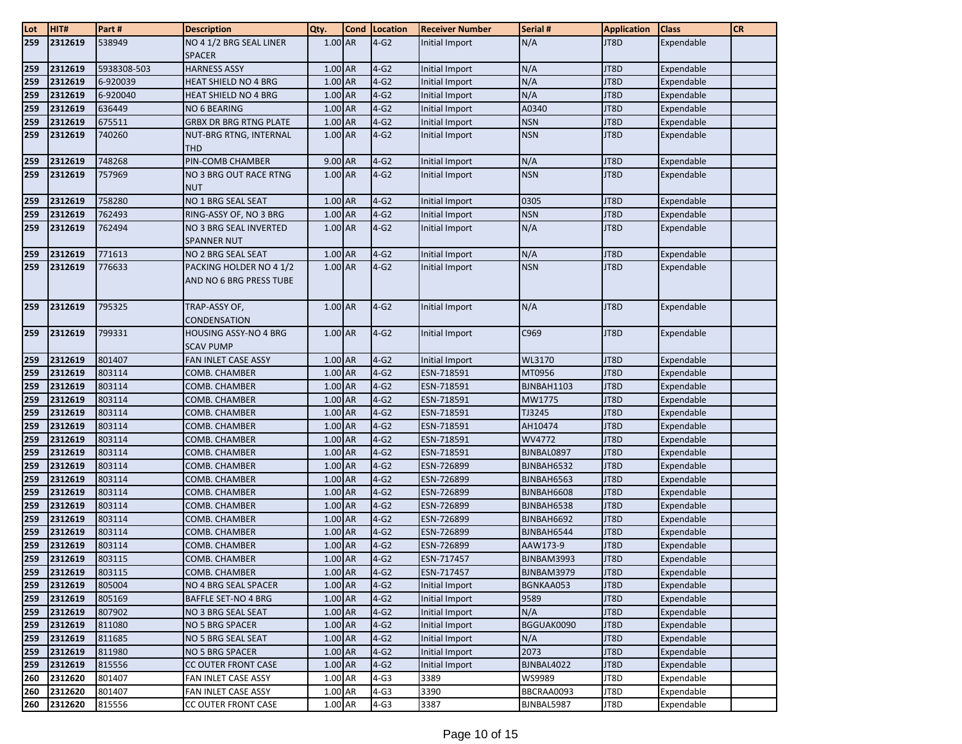| Lot | HIT#    | Part#       | <b>Description</b>                                 | Qty.      | Cond | Location | <b>Receiver Number</b> | Serial #   | <b>Application</b> | <b>Class</b> | <b>CR</b> |
|-----|---------|-------------|----------------------------------------------------|-----------|------|----------|------------------------|------------|--------------------|--------------|-----------|
| 259 | 2312619 | 538949      | NO 4 1/2 BRG SEAL LINER                            | 1.00 AR   |      | $4-G2$   | Initial Import         | N/A        | JT8D               | Expendable   |           |
|     |         |             | <b>SPACER</b>                                      |           |      |          |                        |            |                    |              |           |
| 259 | 2312619 | 5938308-503 | <b>HARNESS ASSY</b>                                | 1.00 AR   |      | $4-G2$   | Initial Import         | N/A        | JT8D               | Expendable   |           |
| 259 | 2312619 | 6-920039    | HEAT SHIELD NO 4 BRG                               | 1.00 AR   |      | $4-G2$   | Initial Import         | N/A        | JT8D               | Expendable   |           |
| 259 | 2312619 | 6-920040    | HEAT SHIELD NO 4 BRG                               | 1.00 AR   |      | $4-G2$   | Initial Import         | N/A        | JT8D               | Expendable   |           |
| 259 | 2312619 | 636449      | <b>NO 6 BEARING</b>                                | 1.00 AR   |      | $4-G2$   | Initial Import         | A0340      | JT8D               | Expendable   |           |
| 259 | 2312619 | 675511      | <b>GRBX DR BRG RTNG PLATE</b>                      | 1.00 AR   |      | $4-G2$   | Initial Import         | <b>NSN</b> | JT8D               | Expendable   |           |
| 259 | 2312619 | 740260      | NUT-BRG RTNG, INTERNAL                             | $1.00$ AR |      | $4-G2$   | Initial Import         | <b>NSN</b> | JT8D               | Expendable   |           |
|     |         |             | <b>THD</b>                                         |           |      |          |                        |            |                    |              |           |
| 259 | 2312619 | 748268      | PIN-COMB CHAMBER                                   | 9.00 AR   |      | $4-G2$   | Initial Import         | N/A        | JT8D               | Expendable   |           |
| 259 | 2312619 | 757969      | NO 3 BRG OUT RACE RTNG<br><b>NUT</b>               | 1.00 AR   |      | $4-G2$   | Initial Import         | <b>NSN</b> | JT8D               | Expendable   |           |
| 259 | 2312619 | 758280      | NO 1 BRG SEAL SEAT                                 | 1.00 AR   |      | $4-G2$   | Initial Import         | 0305       | JT8D               | Expendable   |           |
| 259 | 2312619 | 762493      | RING-ASSY OF, NO 3 BRG                             | 1.00 AR   |      | $4-G2$   | Initial Import         | <b>NSN</b> | JT8D               | Expendable   |           |
| 259 | 2312619 | 762494      | NO 3 BRG SEAL INVERTED<br><b>SPANNER NUT</b>       | 1.00 AR   |      | $4-G2$   | Initial Import         | N/A        | JT8D               | Expendable   |           |
| 259 | 2312619 | 771613      | NO 2 BRG SEAL SEAT                                 | 1.00 AR   |      | $4-G2$   | Initial Import         | N/A        | JT8D               | Expendable   |           |
| 259 | 2312619 | 776633      | PACKING HOLDER NO 4 1/2<br>AND NO 6 BRG PRESS TUBE | 1.00 AR   |      | $4-G2$   | Initial Import         | <b>NSN</b> | JT8D               | Expendable   |           |
|     |         |             |                                                    |           |      |          |                        |            |                    |              |           |
| 259 | 2312619 | 795325      | TRAP-ASSY OF,                                      | 1.00 AR   |      | $4-G2$   | Initial Import         | N/A        | JT8D               | Expendable   |           |
|     |         |             | CONDENSATION                                       |           |      |          |                        |            |                    |              |           |
| 259 | 2312619 | 799331      | <b>HOUSING ASSY-NO 4 BRG</b><br><b>SCAV PUMP</b>   | $1.00$ AR |      | $4-G2$   | Initial Import         | C969       | JT8D               | Expendable   |           |
| 259 | 2312619 | 801407      | FAN INLET CASE ASSY                                | 1.00 AR   |      | $4-G2$   | Initial Import         | WL3170     | JT8D               | Expendable   |           |
| 259 | 2312619 | 803114      | COMB. CHAMBER                                      | 1.00 AR   |      | $4-G2$   | ESN-718591             | MT0956     | JT8D               | Expendable   |           |
| 259 | 2312619 | 803114      | COMB. CHAMBER                                      | 1.00 AR   |      | $4-G2$   | ESN-718591             | BJNBAH1103 | JT8D               | Expendable   |           |
| 259 | 2312619 | 803114      | COMB. CHAMBER                                      | $1.00$ AR |      | $4-G2$   | ESN-718591             | MW1775     | JT8D               | Expendable   |           |
| 259 | 2312619 | 803114      | COMB. CHAMBER                                      | 1.00 AR   |      | $4-G2$   | ESN-718591             | TJ3245     | JT8D               | Expendable   |           |
| 259 | 2312619 | 803114      | COMB. CHAMBER                                      | 1.00 AR   |      | $4-G2$   | ESN-718591             | AH10474    | JT8D               | Expendable   |           |
| 259 | 2312619 | 803114      | COMB. CHAMBER                                      | 1.00 AR   |      | $4-G2$   | ESN-718591             | WV4772     | JT8D               | Expendable   |           |
| 259 | 2312619 | 803114      | COMB. CHAMBER                                      | 1.00 AR   |      | $4-G2$   | ESN-718591             | BJNBAL0897 | JT8D               | Expendable   |           |
| 259 | 2312619 | 803114      | COMB. CHAMBER                                      | 1.00 AR   |      | $4-G2$   | ESN-726899             | BJNBAH6532 | JT8D               | Expendable   |           |
| 259 | 2312619 | 803114      | COMB. CHAMBER                                      | 1.00 AR   |      | $4-G2$   | ESN-726899             | BJNBAH6563 | JT8D               | Expendable   |           |
| 259 | 2312619 | 803114      | COMB. CHAMBER                                      | $1.00$ AR |      | $4-G2$   | ESN-726899             | BJNBAH6608 | JT8D               | Expendable   |           |
| 259 | 2312619 | 803114      | COMB. CHAMBER                                      | 1.00 AR   |      | $4-G2$   | ESN-726899             | BJNBAH6538 | JT8D               | Expendable   |           |
| 259 | 2312619 | 803114      | COMB. CHAMBER                                      | 1.00 AR   |      | $4-G2$   | ESN-726899             | BJNBAH6692 | JT8D               | Expendable   |           |
| 259 | 2312619 | 803114      | COMB. CHAMBER                                      | 1.00 AR   |      | $4-G2$   | ESN-726899             | BJNBAH6544 | JT8D               | Expendable   |           |
| 259 | 2312619 | 803114      | COMB. CHAMBER                                      | 1.00 AR   |      | $4-G2$   | ESN-726899             | AAW173-9   | JT8D               | Expendable   |           |
| 259 | 2312619 | 803115      | COMB. CHAMBER                                      | 1.00 AR   |      | $4-G2$   | ESN-717457             | BJNBAM3993 | JT8D               | Expendable   |           |
| 259 | 2312619 | 803115      | COMB. CHAMBER                                      | 1.00 AR   |      | $4-G2$   | ESN-717457             | BJNBAM3979 | JT8D               | Expendable   |           |
| 259 | 2312619 | 805004      | NO 4 BRG SEAL SPACER                               | 1.00 AR   |      | $4-G2$   | Initial Import         | BGNKAA053  | JT8D               | Expendable   |           |
| 259 | 2312619 | 805169      | <b>BAFFLE SET-NO 4 BRG</b>                         | 1.00 AR   |      | $4-G2$   | Initial Import         | 9589       | JT8D               | Expendable   |           |
| 259 | 2312619 | 807902      | NO 3 BRG SEAL SEAT                                 | 1.00 AR   |      | $4-G2$   | Initial Import         | N/A        | JT8D               | Expendable   |           |
| 259 | 2312619 | 811080      | NO 5 BRG SPACER                                    | 1.00 AR   |      | $4-G2$   | Initial Import         | BGGUAK0090 | JT8D               | Expendable   |           |
| 259 | 2312619 | 811685      | NO 5 BRG SEAL SEAT                                 | 1.00 AR   |      | $4-G2$   | Initial Import         | N/A        | JT8D               | Expendable   |           |
| 259 | 2312619 | 811980      | NO 5 BRG SPACER                                    | 1.00 AR   |      | $4-G2$   | Initial Import         | 2073       | JT8D               | Expendable   |           |
| 259 | 2312619 | 815556      | CC OUTER FRONT CASE                                | 1.00 AR   |      | $4-G2$   | Initial Import         | BJNBAL4022 | JT8D               | Expendable   |           |
| 260 | 2312620 | 801407      | FAN INLET CASE ASSY                                | 1.00 AR   |      | $4-G3$   | 3389                   | WS9989     | JT8D               | Expendable   |           |
| 260 | 2312620 | 801407      | FAN INLET CASE ASSY                                | 1.00 AR   |      | $4-G3$   | 3390                   | BBCRAA0093 | JT8D               | Expendable   |           |
| 260 | 2312620 | 815556      | CC OUTER FRONT CASE                                | 1.00 AR   |      | $4-G3$   | 3387                   | BJNBAL5987 | JT8D               | Expendable   |           |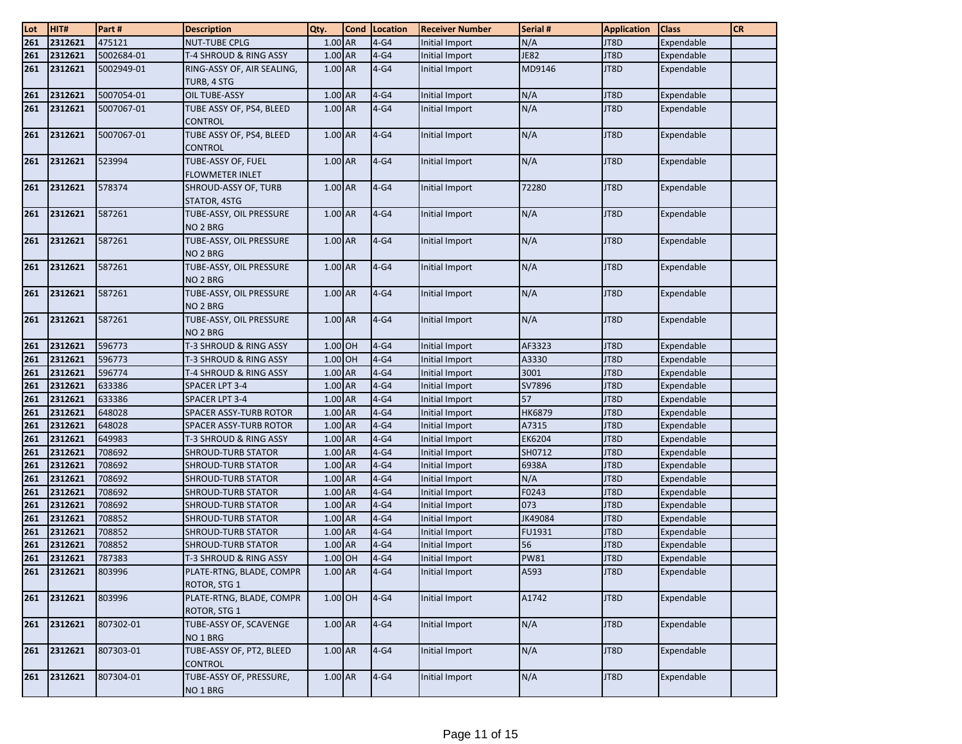| Lot | HIT#    | Part#      | <b>Description</b>                             | Qty.      | <b>Cond</b> | Location | <b>Receiver Number</b> | Serial #      | <b>Application</b> | <b>Class</b> | <b>CR</b> |
|-----|---------|------------|------------------------------------------------|-----------|-------------|----------|------------------------|---------------|--------------------|--------------|-----------|
| 261 | 2312621 | 475121     | <b>NUT-TUBE CPLG</b>                           | 1.00 AR   |             | $4-G4$   | Initial Import         | N/A           | JT8D               | Expendable   |           |
| 261 | 2312621 | 5002684-01 | T-4 SHROUD & RING ASSY                         | 1.00 AR   |             | $4-G4$   | Initial Import         | <b>JE82</b>   | JT8D               | Expendable   |           |
| 261 | 2312621 | 5002949-01 | RING-ASSY OF, AIR SEALING,<br>TURB, 4 STG      | 1.00 AR   |             | $4-G4$   | Initial Import         | MD9146        | JT8D               | Expendable   |           |
| 261 | 2312621 | 5007054-01 | OIL TUBE-ASSY                                  | 1.00 AR   |             | $4-G4$   | Initial Import         | N/A           | JT8D               | Expendable   |           |
| 261 | 2312621 | 5007067-01 | TUBE ASSY OF, PS4, BLEED<br><b>CONTROL</b>     | 1.00 AR   |             | $4-G4$   | Initial Import         | N/A           | JT8D               | Expendable   |           |
| 261 | 2312621 | 5007067-01 | TUBE ASSY OF, PS4, BLEED<br><b>CONTROL</b>     | 1.00 AR   |             | $4-64$   | Initial Import         | N/A           | JT8D               | Expendable   |           |
| 261 | 2312621 | 523994     | TUBE-ASSY OF, FUEL<br><b>FLOWMETER INLET</b>   | 1.00 AR   |             | $4-G4$   | Initial Import         | N/A           | JT8D               | Expendable   |           |
| 261 | 2312621 | 578374     | SHROUD-ASSY OF, TURB<br>STATOR, 4STG           | 1.00 AR   |             | $4-G4$   | Initial Import         | 72280         | JT8D               | Expendable   |           |
| 261 | 2312621 | 587261     | TUBE-ASSY, OIL PRESSURE<br>NO 2 BRG            | 1.00 AR   |             | $4-G4$   | Initial Import         | N/A           | JT8D               | Expendable   |           |
| 261 | 2312621 | 587261     | TUBE-ASSY, OIL PRESSURE<br>NO 2 BRG            | 1.00 AR   |             | $4-G4$   | Initial Import         | N/A           | JT8D               | Expendable   |           |
| 261 | 2312621 | 587261     | TUBE-ASSY, OIL PRESSURE<br>NO 2 BRG            | 1.00 AR   |             | $4-G4$   | Initial Import         | N/A           | JT8D               | Expendable   |           |
| 261 | 2312621 | 587261     | TUBE-ASSY, OIL PRESSURE<br>NO <sub>2</sub> BRG | 1.00 AR   |             | $4-G4$   | Initial Import         | N/A           | JT8D               | Expendable   |           |
| 261 | 2312621 | 587261     | TUBE-ASSY, OIL PRESSURE<br>NO <sub>2</sub> BRG | 1.00 AR   |             | $4-G4$   | Initial Import         | N/A           | JT8D               | Expendable   |           |
| 261 | 2312621 | 596773     | T-3 SHROUD & RING ASSY                         | 1.00 OH   |             | $4-G4$   | Initial Import         | AF3323        | JT8D               | Expendable   |           |
| 261 | 2312621 | 596773     | T-3 SHROUD & RING ASSY                         | 1.00 OH   |             | $4-G4$   | Initial Import         | A3330         | JT8D               | Expendable   |           |
| 261 | 2312621 | 596774     | T-4 SHROUD & RING ASSY                         | 1.00 AR   |             | $4-G4$   | Initial Import         | 3001          | JT8D               | Expendable   |           |
| 261 | 2312621 | 633386     | SPACER LPT 3-4                                 | 1.00 AR   |             | $4-G4$   | Initial Import         | SV7896        | JT8D               | Expendable   |           |
| 261 | 2312621 | 633386     | SPACER LPT 3-4                                 | 1.00 AR   |             | $4-G4$   | Initial Import         | 57            | JT8D               | Expendable   |           |
| 261 | 2312621 | 648028     | SPACER ASSY-TURB ROTOR                         | 1.00 AR   |             | $4-G4$   | <b>Initial Import</b>  | <b>HK6879</b> | JT8D               | Expendable   |           |
| 261 | 2312621 | 648028     | SPACER ASSY-TURB ROTOR                         | 1.00 AR   |             | $4-G4$   | Initial Import         | A7315         | JT8D               | Expendable   |           |
| 261 | 2312621 | 649983     | T-3 SHROUD & RING ASSY                         | 1.00 AR   |             | $4-G4$   | Initial Import         | EK6204        | JT8D               | Expendable   |           |
| 261 | 2312621 | 708692     | <b>SHROUD-TURB STATOR</b>                      | 1.00 AR   |             | $4-G4$   | Initial Import         | SH0712        | JT8D               | Expendable   |           |
| 261 | 2312621 | 708692     | <b>SHROUD-TURB STATOR</b>                      | 1.00 AR   |             | $4-G4$   | Initial Import         | 6938A         | JT8D               | Expendable   |           |
| 261 | 2312621 | 708692     | <b>SHROUD-TURB STATOR</b>                      | 1.00 AR   |             | $4-G4$   | Initial Import         | N/A           | JT8D               | Expendable   |           |
| 261 | 2312621 | 708692     | <b>SHROUD-TURB STATOR</b>                      | 1.00 AR   |             | $4-G4$   | Initial Import         | F0243         | JT8D               | Expendable   |           |
| 261 | 2312621 | 708692     | <b>SHROUD-TURB STATOR</b>                      | 1.00 AR   |             | $4-G4$   | Initial Import         | 073           | JT8D               | Expendable   |           |
| 261 | 2312621 | 708852     | <b>SHROUD-TURB STATOR</b>                      | 1.00 AR   |             | $4-G4$   | Initial Import         | JK49084       | JT8D               | Expendable   |           |
| 261 | 2312621 | 708852     | <b>SHROUD-TURB STATOR</b>                      | 1.00 AR   |             | $4-G4$   | Initial Import         | FU1931        | JT8D               | Expendable   |           |
| 261 | 2312621 | 708852     | <b>SHROUD-TURB STATOR</b>                      | 1.00 AR   |             | $4-G4$   | Initial Import         | 56            | JT8D               | Expendable   |           |
| 261 | 2312621 | 787383     | T-3 SHROUD & RING ASSY                         | 1.00 OH   |             | $4-G4$   | Initial Import         | <b>PW81</b>   | JT8D               | Expendable   |           |
| 261 | 2312621 | 803996     | PLATE-RTNG, BLADE, COMPR<br>ROTOR, STG 1       | 1.00 AR   |             | $4-G4$   | Initial Import         | A593          | JT8D               | Expendable   |           |
| 261 | 2312621 | 803996     | PLATE-RTNG, BLADE, COMPR<br>ROTOR, STG 1       | 1.00 OH   |             | $4-G4$   | Initial Import         | A1742         | JT8D               | Expendable   |           |
| 261 | 2312621 | 807302-01  | TUBE-ASSY OF, SCAVENGE<br>NO 1 BRG             | $1.00$ AR |             | $4-G4$   | Initial Import         | N/A           | JT8D               | Expendable   |           |
| 261 | 2312621 | 807303-01  | TUBE-ASSY OF, PT2, BLEED<br><b>CONTROL</b>     | 1.00 AR   |             | $4-G4$   | Initial Import         | N/A           | JT8D               | Expendable   |           |
| 261 | 2312621 | 807304-01  | TUBE-ASSY OF, PRESSURE,<br>NO <sub>1</sub> BRG | $1.00$ AR |             | $4-G4$   | Initial Import         | N/A           | JT8D               | Expendable   |           |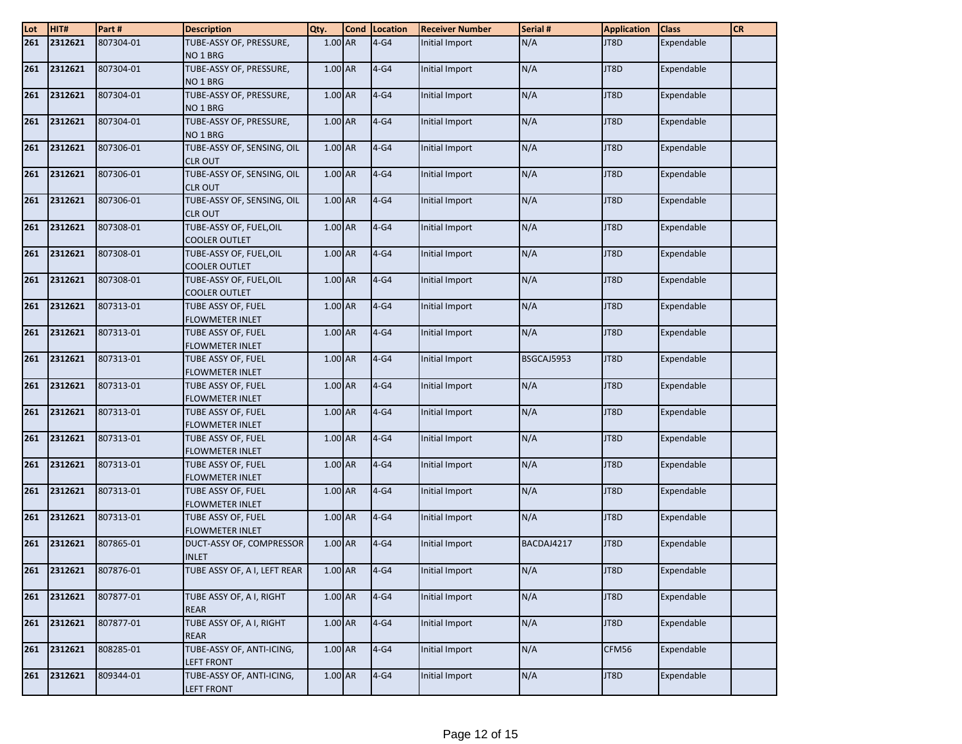| Lot | HIT#        | Part#     | <b>Description</b>                              | Qty.      | <b>Cond</b> | Location | <b>Receiver Number</b> | Serial #   | <b>Application</b> | <b>Class</b> | <b>CR</b> |
|-----|-------------|-----------|-------------------------------------------------|-----------|-------------|----------|------------------------|------------|--------------------|--------------|-----------|
| 261 | 2312621     | 807304-01 | TUBE-ASSY OF, PRESSURE,                         | $1.00$ AR |             | $4-G4$   | Initial Import         | N/A        | JT8D               | Expendable   |           |
|     |             |           | NO <sub>1</sub> BRG                             |           |             |          |                        |            |                    |              |           |
| 261 | 2312621     | 807304-01 | TUBE-ASSY OF, PRESSURE,                         | 1.00 AR   |             | $4-G4$   | Initial Import         | N/A        | JT8D               | Expendable   |           |
|     |             |           | NO <sub>1</sub> BRG                             |           |             |          |                        |            |                    |              |           |
| 261 | 2312621     | 807304-01 | TUBE-ASSY OF, PRESSURE,                         | 1.00 AR   |             | $4-G4$   | Initial Import         | N/A        | JT8D               | Expendable   |           |
|     |             |           | NO <sub>1</sub> BRG                             |           |             |          |                        |            |                    |              |           |
| 261 | 2312621     | 807304-01 | TUBE-ASSY OF, PRESSURE,<br>NO <sub>1</sub> BRG  | 1.00 AR   |             | $4-G4$   | Initial Import         | N/A        | JT8D               | Expendable   |           |
| 261 | 2312621     | 807306-01 | TUBE-ASSY OF, SENSING, OIL                      | 1.00 AR   |             | $4-G4$   | Initial Import         | N/A        | JT8D               | Expendable   |           |
|     |             |           | <b>CLR OUT</b>                                  |           |             |          |                        |            |                    |              |           |
| 261 | 2312621     | 807306-01 | TUBE-ASSY OF, SENSING, OIL                      | 1.00 AR   |             | $4-G4$   | Initial Import         | N/A        | JT8D               | Expendable   |           |
|     |             |           | <b>CLR OUT</b>                                  |           |             |          |                        |            |                    |              |           |
| 261 | 2312621     | 807306-01 | TUBE-ASSY OF, SENSING, OIL                      | 1.00 AR   |             | $4-G4$   | Initial Import         | N/A        | JT8D               | Expendable   |           |
|     |             |           | <b>CLR OUT</b>                                  |           |             |          |                        |            |                    |              |           |
| 261 | 2312621     | 807308-01 | TUBE-ASSY OF, FUEL, OIL                         | 1.00 AR   |             | $4-G4$   | Initial Import         | N/A        | JT8D               | Expendable   |           |
|     |             |           | COOLER OUTLET                                   |           |             |          |                        |            |                    |              |           |
| 261 | 2312621     | 807308-01 | TUBE-ASSY OF, FUEL, OIL                         | 1.00 AR   |             | $4-G4$   | Initial Import         | N/A        | JT8D               | Expendable   |           |
|     |             |           | <b>COOLER OUTLET</b>                            |           |             |          |                        |            |                    |              |           |
| 261 | 2312621     | 807308-01 | TUBE-ASSY OF, FUEL, OIL<br><b>COOLER OUTLET</b> | 1.00 AR   |             | $4-G4$   | Initial Import         | N/A        | JT8D               | Expendable   |           |
| 261 | 2312621     | 807313-01 | TUBE ASSY OF, FUEL                              | 1.00 AR   |             | $4-G4$   | Initial Import         | N/A        | JT8D               | Expendable   |           |
|     |             |           | <b>FLOWMETER INLET</b>                          |           |             |          |                        |            |                    |              |           |
| 261 | 2312621     | 807313-01 | TUBE ASSY OF, FUEL                              | 1.00 AR   |             | $4-G4$   | Initial Import         | N/A        | JT8D               | Expendable   |           |
|     |             |           | <b>FLOWMETER INLET</b>                          |           |             |          |                        |            |                    |              |           |
| 261 | 2312621     | 807313-01 | TUBE ASSY OF, FUEL                              | 1.00 AR   |             | $4-G4$   | Initial Import         | BSGCAJ5953 | JT8D               | Expendable   |           |
|     |             |           | <b>FLOWMETER INLET</b>                          |           |             |          |                        |            |                    |              |           |
| 261 | 2312621     | 807313-01 | TUBE ASSY OF, FUEL                              | 1.00 AR   |             | $4-G4$   | Initial Import         | N/A        | JT8D               | Expendable   |           |
|     |             |           | <b>FLOWMETER INLET</b>                          |           |             |          |                        |            |                    |              |           |
| 261 | 2312621     | 807313-01 | TUBE ASSY OF, FUEL                              | 1.00 AR   |             | $4-G4$   | Initial Import         | N/A        | JT8D               | Expendable   |           |
|     |             |           | <b>FLOWMETER INLET</b>                          |           |             |          |                        |            |                    |              |           |
| 261 | 2312621     | 807313-01 | TUBE ASSY OF, FUEL<br><b>FLOWMETER INLET</b>    | 1.00 AR   |             | $4-G4$   | Initial Import         | N/A        | JT8D               | Expendable   |           |
| 261 | 2312621     | 807313-01 | TUBE ASSY OF, FUEL                              | 1.00 AR   |             | $4-G4$   | Initial Import         | N/A        | JT8D               | Expendable   |           |
|     |             |           | <b>FLOWMETER INLET</b>                          |           |             |          |                        |            |                    |              |           |
| 261 | 2312621     | 807313-01 | TUBE ASSY OF, FUEL                              | 1.00 AR   |             | $4-G4$   | Initial Import         | N/A        | JT8D               | Expendable   |           |
|     |             |           | <b>FLOWMETER INLET</b>                          |           |             |          |                        |            |                    |              |           |
| 261 | 2312621     | 807313-01 | TUBE ASSY OF, FUEL                              | 1.00 AR   |             | $4-G4$   | Initial Import         | N/A        | JT8D               | Expendable   |           |
|     |             |           | <b>FLOWMETER INLET</b>                          |           |             |          |                        |            |                    |              |           |
| 261 | 2312621     | 807865-01 | DUCT-ASSY OF, COMPRESSOR                        | 1.00 AR   |             | $4-G4$   | Initial Import         | BACDAJ4217 | JT8D               | Expendable   |           |
|     |             |           | <b>INLET</b>                                    |           |             |          |                        |            |                    |              |           |
|     | 261 2312621 | 807876-01 | TUBE ASSY OF, A I, LEFT REAR                    | $1.00$ AR |             | $ 4-G4$  | Initial Import         | N/A        | JT8D               | Expendable   |           |
| 261 | 2312621     | 807877-01 | TUBE ASSY OF, A I, RIGHT                        | $1.00$ AR |             | $4-G4$   | Initial Import         | N/A        | JT8D               | Expendable   |           |
|     |             |           | <b>REAR</b>                                     |           |             |          |                        |            |                    |              |           |
| 261 | 2312621     | 807877-01 | TUBE ASSY OF, A I, RIGHT                        | 1.00 AR   |             | $4-G4$   | Initial Import         | N/A        | JT8D               | Expendable   |           |
|     |             |           | <b>REAR</b>                                     |           |             |          |                        |            |                    |              |           |
| 261 | 2312621     | 808285-01 | TUBE-ASSY OF, ANTI-ICING,                       | 1.00 AR   |             | $4-G4$   | Initial Import         | N/A        | CFM56              | Expendable   |           |
|     |             |           | <b>LEFT FRONT</b>                               |           |             |          |                        |            |                    |              |           |
| 261 | 2312621     | 809344-01 | TUBE-ASSY OF, ANTI-ICING,                       | $1.00$ AR |             | $4-G4$   | Initial Import         | N/A        | JT8D               | Expendable   |           |
|     |             |           | <b>LEFT FRONT</b>                               |           |             |          |                        |            |                    |              |           |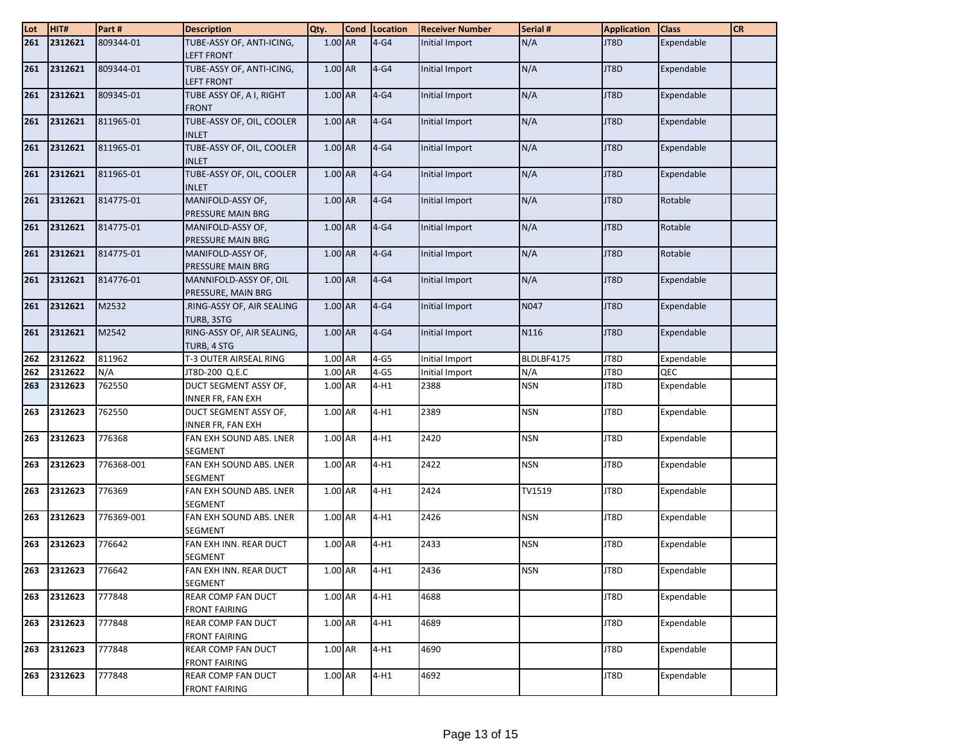| Lot | HIT#        | Part#      | <b>Description</b>                             | Qty.      | Cond Location | <b>Receiver Number</b> | Serial #   | <b>Application</b> | <b>Class</b> | <b>CR</b> |
|-----|-------------|------------|------------------------------------------------|-----------|---------------|------------------------|------------|--------------------|--------------|-----------|
| 261 | 2312621     | 809344-01  | TUBE-ASSY OF, ANTI-ICING,                      | 1.00 AR   | $4-G4$        | Initial Import         | N/A        | JT8D               | Expendable   |           |
|     |             |            | <b>LEFT FRONT</b>                              |           |               |                        |            |                    |              |           |
| 261 | 2312621     | 809344-01  | TUBE-ASSY OF, ANTI-ICING,<br><b>LEFT FRONT</b> | 1.00 AR   | $4-64$        | Initial Import         | N/A        | JT8D               | Expendable   |           |
| 261 | 2312621     | 809345-01  | TUBE ASSY OF, A I, RIGHT<br><b>FRONT</b>       | 1.00 AR   | $4-G4$        | Initial Import         | N/A        | JT8D               | Expendable   |           |
| 261 | 2312621     | 811965-01  | TUBE-ASSY OF, OIL, COOLER                      | 1.00 AR   | $4-G4$        | Initial Import         | N/A        | JT8D               | Expendable   |           |
|     |             |            | <b>INLET</b>                                   |           |               |                        |            |                    |              |           |
| 261 | 2312621     | 811965-01  | TUBE-ASSY OF, OIL, COOLER<br><b>INLET</b>      | 1.00 AR   | $4-G4$        | Initial Import         | N/A        | JT8D               | Expendable   |           |
| 261 | 2312621     | 811965-01  | TUBE-ASSY OF, OIL, COOLER                      | $1.00$ AR | $4-G4$        | Initial Import         | N/A        | JT8D               | Expendable   |           |
|     |             |            | <b>INLET</b>                                   |           |               |                        |            |                    |              |           |
| 261 | 2312621     | 814775-01  | MANIFOLD-ASSY OF,<br>PRESSURE MAIN BRG         | 1.00 AR   | $4-G4$        | Initial Import         | N/A        | JT8D               | Rotable      |           |
| 261 | 2312621     | 814775-01  | MANIFOLD-ASSY OF,                              | 1.00 AR   | $4-G4$        | Initial Import         | N/A        | JT8D               | Rotable      |           |
|     |             |            | PRESSURE MAIN BRG                              |           |               |                        |            |                    |              |           |
| 261 | 2312621     | 814775-01  | MANIFOLD-ASSY OF,<br>PRESSURE MAIN BRG         | 1.00 AR   | $4-G4$        | Initial Import         | N/A        | JT8D               | Rotable      |           |
| 261 | 2312621     | 814776-01  | MANNIFOLD-ASSY OF, OIL                         | 1.00 AR   | $4-G4$        | Initial Import         | N/A        | JT8D               | Expendable   |           |
|     | 2312621     | M2532      | PRESSURE, MAIN BRG                             | $1.00$ AR | $4-G4$        |                        | N047       | JT8D               |              |           |
| 261 |             |            | .RING-ASSY OF, AIR SEALING<br>TURB, 3STG       |           |               | Initial Import         |            |                    | Expendable   |           |
| 261 | 2312621     | M2542      | RING-ASSY OF, AIR SEALING,                     | 1.00 AR   | $4-G4$        | Initial Import         | N116       | JT8D               | Expendable   |           |
|     |             |            | TURB, 4 STG                                    |           |               |                        |            |                    |              |           |
| 262 | 2312622     | 811962     | T-3 OUTER AIRSEAL RING                         | 1.00 AR   | $4-G5$        | Initial Import         | BLDLBF4175 | JT8D               | Expendable   |           |
| 262 | 2312622     | N/A        | JT8D-200 Q.E.C                                 | 1.00 AR   | $4-G5$        | Initial Import         | N/A        | JT8D               | QEC          |           |
| 263 | 2312623     | 762550     | DUCT SEGMENT ASSY OF,<br>INNER FR, FAN EXH     | 1.00 AR   | $4-H1$        | 2388                   | <b>NSN</b> | JT8D               | Expendable   |           |
| 263 | 2312623     | 762550     | DUCT SEGMENT ASSY OF,                          | 1.00 AR   | $4-H1$        | 2389                   | <b>NSN</b> | JT8D               | Expendable   |           |
|     |             |            | INNER FR, FAN EXH                              |           |               |                        |            |                    |              |           |
| 263 | 2312623     | 776368     | FAN EXH SOUND ABS. LNER                        | 1.00 AR   | 4-H1          | 2420                   | <b>NSN</b> | JT8D               | Expendable   |           |
|     |             |            | <b>SEGMENT</b>                                 |           |               |                        |            |                    |              |           |
| 263 | 2312623     | 776368-001 | FAN EXH SOUND ABS. LNER                        | 1.00 AR   | $4-H1$        | 2422                   | <b>NSN</b> | JT8D               | Expendable   |           |
|     |             |            | <b>SEGMENT</b>                                 |           |               |                        |            |                    |              |           |
| 263 | 2312623     | 776369     | FAN EXH SOUND ABS. LNER<br><b>SEGMENT</b>      | 1.00 AR   | $4-H1$        | 2424                   | TV1519     | JT8D               | Expendable   |           |
| 263 | 2312623     | 776369-001 | FAN EXH SOUND ABS. LNER<br><b>SEGMENT</b>      | 1.00 AR   | $4-H1$        | 2426                   | <b>NSN</b> | JT8D               | Expendable   |           |
| 263 | 2312623     | 776642     | FAN EXH INN. REAR DUCT                         | 1.00 AR   | $4-H1$        | 2433                   | <b>NSN</b> | JT8D               | Expendable   |           |
|     |             |            | SEGMENT                                        |           |               |                        |            |                    |              |           |
|     | 263 2312623 | 776642     | FAN EXH INN. REAR DUCT                         | 1.00 AR   | 14-H1         | 2436                   | NSN        | JT8D               | Expendable   |           |
|     |             |            | SEGMENT                                        |           |               |                        |            |                    |              |           |
| 263 | 2312623     | 777848     | REAR COMP FAN DUCT                             | 1.00 AR   | $4-H1$        | 4688                   |            | JT8D               | Expendable   |           |
|     |             |            | <b>FRONT FAIRING</b>                           |           |               |                        |            |                    |              |           |
| 263 | 2312623     | 777848     | REAR COMP FAN DUCT                             | 1.00 AR   | $4-H1$        | 4689                   |            | JT8D               | Expendable   |           |
|     |             |            | <b>FRONT FAIRING</b>                           |           |               |                        |            |                    |              |           |
| 263 | 2312623     | 777848     | <b>REAR COMP FAN DUCT</b>                      | 1.00 AR   | $4-H1$        | 4690                   |            | JT8D               | Expendable   |           |
|     |             |            | <b>FRONT FAIRING</b>                           |           |               |                        |            |                    |              |           |
| 263 | 2312623     | 777848     | REAR COMP FAN DUCT                             | 1.00 AR   | $4-H1$        | 4692                   |            | JT8D               | Expendable   |           |
|     |             |            | <b>FRONT FAIRING</b>                           |           |               |                        |            |                    |              |           |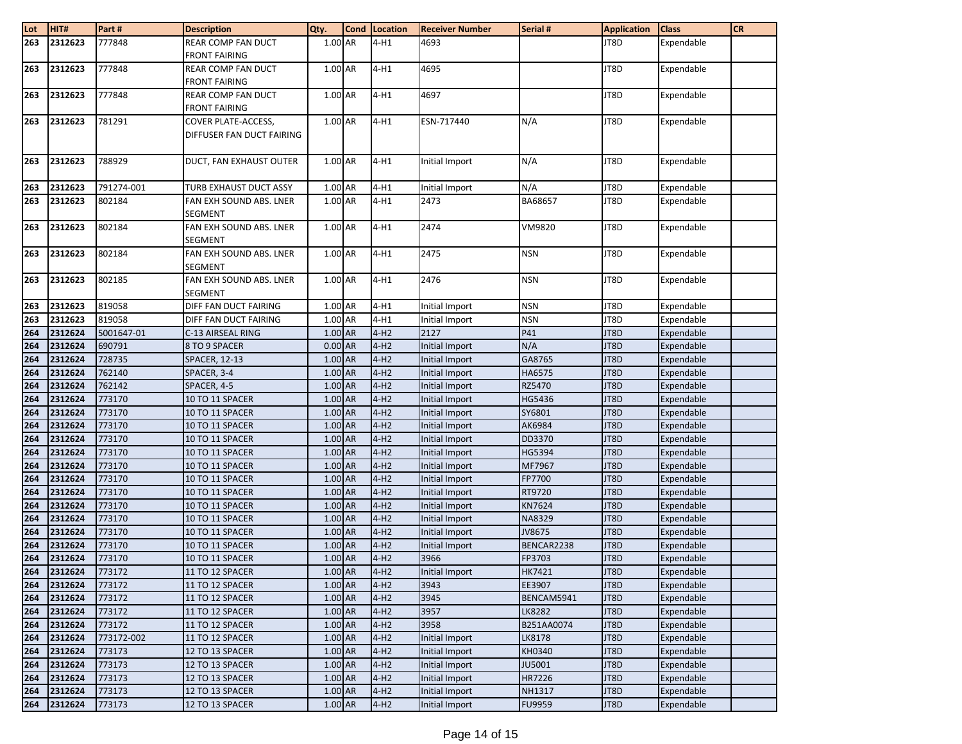| Lot        | HIT#               | Part#            | <b>Description</b>                 | Qty.                 | Cond Location    | <b>Receiver Number</b>           | Serial #         | <b>Application</b> | <b>Class</b>             | <b>CR</b> |
|------------|--------------------|------------------|------------------------------------|----------------------|------------------|----------------------------------|------------------|--------------------|--------------------------|-----------|
| 263        | 2312623            | 777848           | REAR COMP FAN DUCT                 | 1.00 AR              | $4-H1$           | 4693                             |                  | JT8D               | Expendable               |           |
|            |                    |                  | <b>FRONT FAIRING</b>               |                      |                  |                                  |                  |                    |                          |           |
| 263        | 2312623            | 777848           | REAR COMP FAN DUCT                 | $1.00$ AR            | $4-H1$           | 4695                             |                  | JT8D               | Expendable               |           |
|            |                    |                  | <b>FRONT FAIRING</b>               |                      |                  |                                  |                  |                    |                          |           |
| 263        | 2312623            | 777848           | REAR COMP FAN DUCT                 | 1.00 AR              | $4-H1$           | 4697                             |                  | JT8D               | Expendable               |           |
|            |                    |                  | FRONT FAIRING                      |                      |                  |                                  |                  |                    |                          |           |
| 263        | 2312623            | 781291           | COVER PLATE-ACCESS,                | 1.00 AR              | $4-H1$           | ESN-717440                       | N/A              | JT8D               | Expendable               |           |
|            |                    |                  | DIFFUSER FAN DUCT FAIRING          |                      |                  |                                  |                  |                    |                          |           |
|            |                    |                  |                                    |                      |                  |                                  |                  |                    |                          |           |
| 263        | 2312623            | 788929           | DUCT, FAN EXHAUST OUTER            | 1.00 AR              | $4-H1$           | Initial Import                   | N/A              | JT8D               | Expendable               |           |
|            |                    |                  |                                    |                      |                  |                                  |                  |                    |                          |           |
| 263        | 2312623            | 791274-001       | TURB EXHAUST DUCT ASSY             | 1.00 AR              | $4-H1$           | Initial Import                   | N/A              | JT8D               | Expendable               |           |
| 263        | 2312623            | 802184           | FAN EXH SOUND ABS. LNER            | 1.00 AR              | $4-H1$           | 2473                             | BA68657          | JT8D               | Expendable               |           |
|            |                    |                  | <b>SEGMENT</b>                     |                      |                  |                                  |                  |                    |                          |           |
| 263        | 2312623            | 802184           | FAN EXH SOUND ABS. LNER            | 1.00 AR              | $4-H1$           | 2474                             | VM9820           | JT8D               | Expendable               |           |
|            |                    |                  | <b>SEGMENT</b>                     |                      |                  |                                  |                  |                    |                          |           |
| 263        | 2312623            | 802184           | FAN EXH SOUND ABS. LNER            | 1.00 AR              | $4-H1$           | 2475                             | <b>NSN</b>       | JT8D               | Expendable               |           |
|            |                    |                  | <b>SEGMENT</b>                     |                      |                  |                                  |                  |                    |                          |           |
| 263        | 2312623            | 802185           | FAN EXH SOUND ABS. LNER            | $1.00$ AR            | $4-H1$           | 2476                             | <b>NSN</b>       | JT8D               | Expendable               |           |
|            |                    |                  | SEGMENT                            |                      |                  |                                  |                  |                    |                          |           |
| 263        | 2312623            | 819058           | DIFF FAN DUCT FAIRING              | 1.00 AR              | $4-H1$           | Initial Import                   | <b>NSN</b>       | JT8D               | Expendable               |           |
| 263        | 2312623            | 819058           | DIFF FAN DUCT FAIRING              | 1.00 AR              | $4-H1$           | Initial Import                   | <b>NSN</b>       | JT8D               | Expendable               |           |
| 264        | 2312624            | 5001647-01       | C-13 AIRSEAL RING                  | 1.00 AR              | $4-H2$           | 2127                             | P41              | JT8D               | Expendable               |           |
| 264        | 2312624            | 690791           | 8 TO 9 SPACER                      | $0.00$ AR            | $4-H2$           | Initial Import                   | N/A              | JT8D               | Expendable               |           |
| 264        | 2312624            | 728735           | <b>SPACER, 12-13</b>               | 1.00 AR              | $4-H2$           | Initial Import                   | GA8765           | JT8D               | Expendable               |           |
| 264        | 2312624            | 762140           | SPACER, 3-4                        | 1.00 AR              | $4-H2$           | Initial Import                   | HA6575           | JT8D               | Expendable               |           |
| 264        | 2312624            | 762142           | SPACER, 4-5                        | 1.00 AR              | $4-H2$           | Initial Import                   | RZ5470           | JT8D               | Expendable               |           |
| 264        | 2312624            | 773170           | 10 TO 11 SPACER                    | 1.00 AR              | $4-H2$           | Initial Import                   | HG5436           | JT8D               | Expendable               |           |
| 264        | 2312624            | 773170           | 10 TO 11 SPACER                    | 1.00 AR              | $4-H2$           | <b>Initial Import</b>            | SY6801           | JT8D               | Expendable               |           |
| 264        | 2312624            | 773170           | 10 TO 11 SPACER                    | $1.00$ AR            | $4-H2$           | Initial Import                   | AK6984           | JT8D               | Expendable               |           |
| 264        | 2312624            | 773170           | 10 TO 11 SPACER                    | $1.00$ AR            | $4-H2$           | Initial Import                   | DD3370           | JT8D               | Expendable               |           |
| 264        | 2312624            | 773170           | 10 TO 11 SPACER                    | 1.00 AR              | $4-H2$           | Initial Import                   | HG5394           | JT8D               | Expendable               |           |
| 264        | 2312624            | 773170           | 10 TO 11 SPACER                    | 1.00 AR<br>$1.00$ AR | $4-H2$<br>$4-H2$ | <b>Initial Import</b>            | MF7967           | JT8D<br>JT8D       | Expendable               |           |
| 264        | 2312624            | 773170           | 10 TO 11 SPACER                    |                      |                  | Initial Import                   | FP7700           | JT8D               | Expendable               |           |
| 264        | 2312624<br>2312624 | 773170<br>773170 | 10 TO 11 SPACER                    | 1.00 AR<br>1.00 AR   | $4-H2$           | Initial Import<br>Initial Import | RT9720           | JT8D               | Expendable<br>Expendable |           |
| 264        |                    |                  | 10 TO 11 SPACER                    |                      | $4-H2$           |                                  | KN7624           |                    |                          |           |
| 264<br>264 | 2312624<br>2312624 | 773170<br>773170 | 10 TO 11 SPACER<br>10 TO 11 SPACER | 1.00 AR<br>1.00 AR   | $4-H2$<br>$4-H2$ | Initial Import<br>Initial Import | NA8329<br>JV8675 | JT8D<br>JT8D       | Expendable<br>Expendable |           |
| 264        | 2312624            | 773170           | 10 TO 11 SPACER                    | 1.00 AR              | $4-H2$           | Initial Import                   | BENCAR2238       | JT8D               | Expendable               |           |
| 264        | 2312624            | 773170           | 10 TO 11 SPACER                    | 1.00 AR              | $4-H2$           | 3966                             | FP3703           | JT8D               | Expendable               |           |
| 264        | 2312624            | 773172           | 11 TO 12 SPACER                    | 1.00 AR              | $4-H2$           | Initial Import                   | HK7421           | JT8D               | Expendable               |           |
| 264        | 2312624            | 773172           | 11 TO 12 SPACER                    | 1.00 AR              | $4-H2$           | 3943                             | EE3907           | JT8D               | Expendable               |           |
| 264        | 2312624            | 773172           | 11 TO 12 SPACER                    | 1.00 AR              | $4-H2$           | 3945                             | BENCAM5941       | JT8D               | Expendable               |           |
| 264        | 2312624            | 773172           | 11 TO 12 SPACER                    | 1.00 AR              | $4-H2$           | 3957                             | LK8282           | JT8D               | Expendable               |           |
| 264        | 2312624            | 773172           | 11 TO 12 SPACER                    | 1.00 AR              | $4-H2$           | 3958                             | B251AA0074       | JT8D               | Expendable               |           |
| 264        | 2312624            | 773172-002       | 11 TO 12 SPACER                    | 1.00 AR              | $4-H2$           | Initial Import                   | LK8178           | JT8D               | Expendable               |           |
| 264        | 2312624            | 773173           | 12 TO 13 SPACER                    | 1.00 AR              | $4-H2$           | Initial Import                   | KH0340           | JT8D               | Expendable               |           |
| 264        | 2312624            | 773173           | 12 TO 13 SPACER                    | $1.00$ AR            | $4-H2$           | Initial Import                   | <b>JU5001</b>    | JT8D               | Expendable               |           |
| 264        | 2312624            | 773173           | 12 TO 13 SPACER                    | 1.00 AR              | $4-H2$           | Initial Import                   | HR7226           | JT8D               | Expendable               |           |
| 264        | 2312624            | 773173           | 12 TO 13 SPACER                    | 1.00 AR              | $4-H2$           | Initial Import                   | NH1317           | JT8D               | Expendable               |           |
| 264        | 2312624            | 773173           | 12 TO 13 SPACER                    | 1.00 AR              | $4-H2$           | Initial Import                   | FU9959           | JT8D               | Expendable               |           |
|            |                    |                  |                                    |                      |                  |                                  |                  |                    |                          |           |